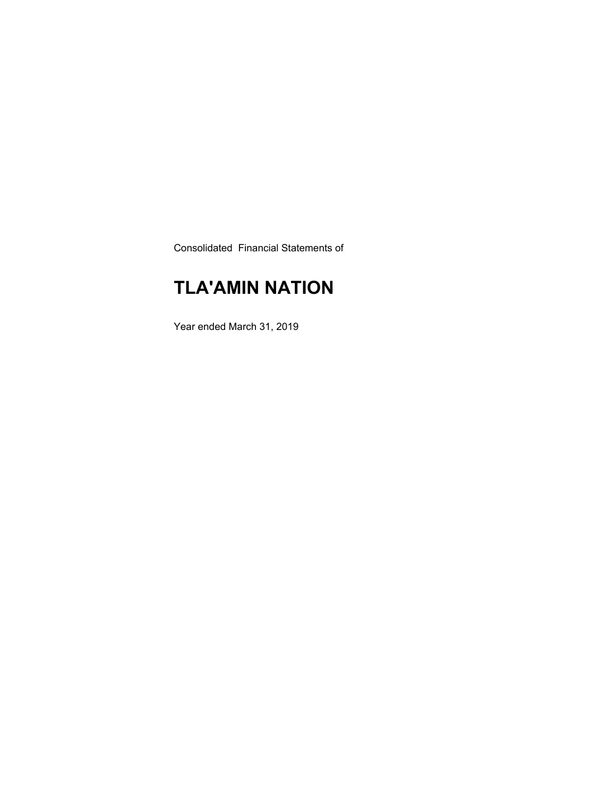Consolidated Financial Statements of

# **TLA'AMIN NATION**

Year ended March 31, 2019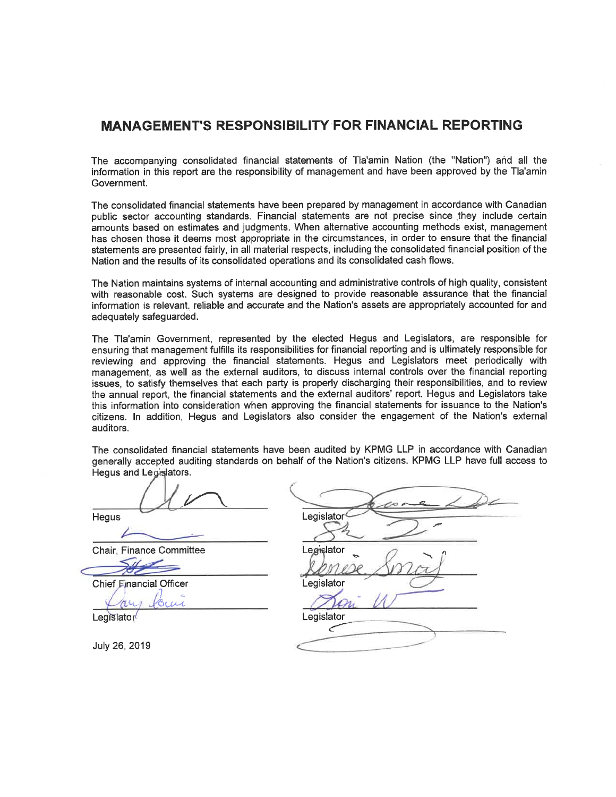#### **MANAGEMENT'S RESPONSIBILITY FOR FINANCIAL REPORTING**

The accompanying consolidated financial statements of Tla'amin Nation (the "Nation") and all the information in this report are the responsibility of management and have been approved by the Tla'amin Government.

The consolidated financial statements have been prepared by management in accordance with Canadian public sector accounting standards. Financial statements are not precise since they include certain amounts based on estimates and judgments. When alternative accounting methods exist, management has chosen those it deems most appropriate in the circumstances, in order to ensure that the financial statements are presented fairly, in all material respects, including the consolidated financial position of the Nation and the results of its consolidated operations and its consolidated cash flows.

The Nation maintains systems of internal accounting and administrative controls of high quality, consistent with reasonable cost. Such systems are designed to provide reasonable assurance that the financial information is relevant, reliable and accurate and the Nation's assets are appropriately accounted for and adequately safeguarded.

The Tla'amin Government, represented by the elected Hegus and Legislators, are responsible for ensuring that management fulfills its responsibilities for financial reporting and is ultimately responsible for reviewing and approving the financial statements. Hegus and Legislators meet periodically with management, as well as the external auditors, to discuss internal controls over the financial reporting issues, to satisfy themselves that each party is properly discharging their responsibilities, and to review the annual report, the financial statements and the external auditors' report. Hegus and Legislators take this information into consideration when approving the financial statements for issuance to the Nation's citizens. In addition, Hegus and Legislators also consider the engagement of the Nation's external auditors.

The consolidated financial statements have been audited by KPMG LLP in accordance with Canadian generally accepted auditing standards on behalf of the Nation's citizens. KPMG LLP have full access to Hequs and Legislators.

Hegus

Chair. Finance Committee

**Chief Financial Officer** 

Legislator

July 26, 2019

| Legislator |  |
|------------|--|
|            |  |
| Legislator |  |
|            |  |
| Legislator |  |
|            |  |
| Legislator |  |
|            |  |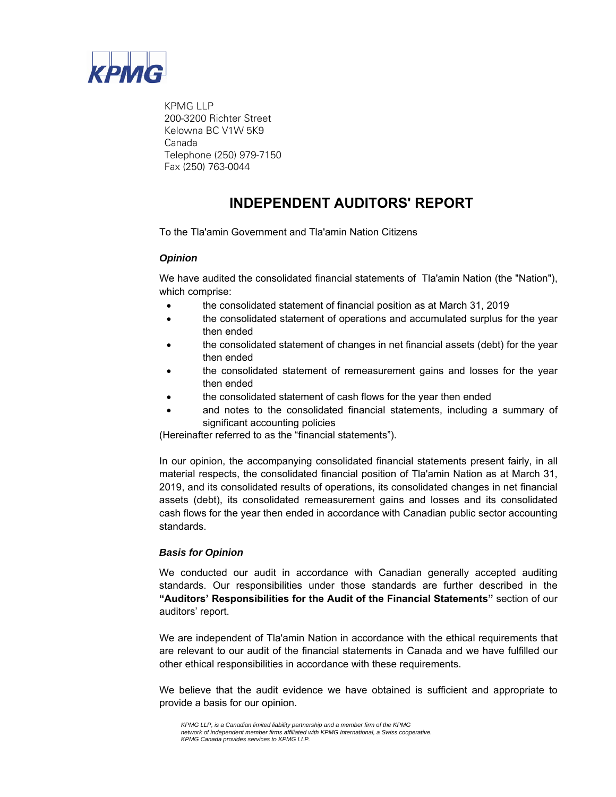

KPMG LLP 200-3200 Richter Street Kelowna BC V1W 5K9 Canada Telephone (250) 979-7150 Fax (250) 763-0044

### **INDEPENDENT AUDITORS' REPORT**

To the Tla'amin Government and Tla'amin Nation Citizens

#### *Opinion*

We have audited the consolidated financial statements of Tla'amin Nation (the "Nation"), which comprise:

- the consolidated statement of financial position as at March 31, 2019
- the consolidated statement of operations and accumulated surplus for the year then ended
- the consolidated statement of changes in net financial assets (debt) for the year then ended
- the consolidated statement of remeasurement gains and losses for the year then ended
- the consolidated statement of cash flows for the year then ended
- and notes to the consolidated financial statements, including a summary of significant accounting policies

(Hereinafter referred to as the "financial statements").

In our opinion, the accompanying consolidated financial statements present fairly, in all material respects, the consolidated financial position of Tla'amin Nation as at March 31, 2019, and its consolidated results of operations, its consolidated changes in net financial assets (debt), its consolidated remeasurement gains and losses and its consolidated cash flows for the year then ended in accordance with Canadian public sector accounting standards.

#### *Basis for Opinion*

We conducted our audit in accordance with Canadian generally accepted auditing standards. Our responsibilities under those standards are further described in the **"Auditors' Responsibilities for the Audit of the Financial Statements"** section of our auditors' report.

We are independent of Tla'amin Nation in accordance with the ethical requirements that are relevant to our audit of the financial statements in Canada and we have fulfilled our other ethical responsibilities in accordance with these requirements.

We believe that the audit evidence we have obtained is sufficient and appropriate to provide a basis for our opinion.

*KPMG LLP, is a Canadian limited liability partnership and a member firm of the KPMG network of independent member firms affiliated with KPMG International, a Swiss cooperative. KPMG Canada provides services to KPMG LLP.*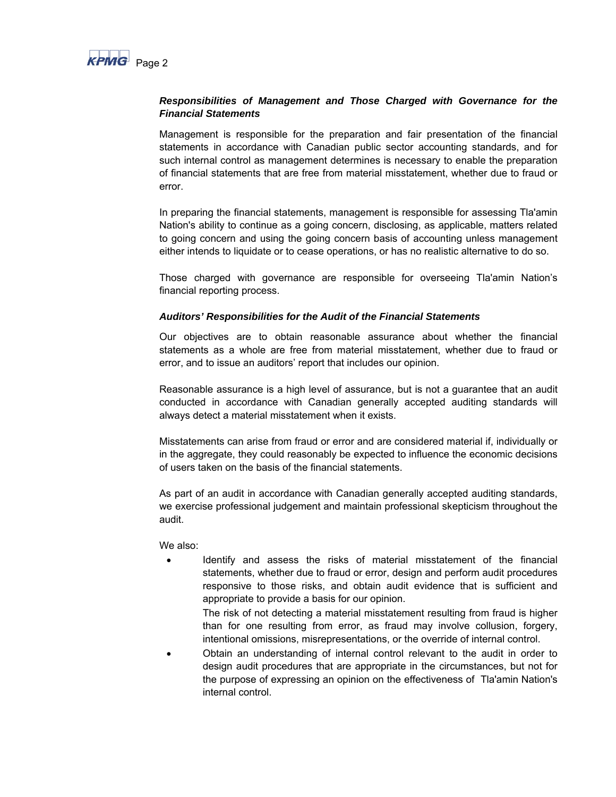

#### *Responsibilities of Management and Those Charged with Governance for the Financial Statements*

Management is responsible for the preparation and fair presentation of the financial statements in accordance with Canadian public sector accounting standards, and for such internal control as management determines is necessary to enable the preparation of financial statements that are free from material misstatement, whether due to fraud or error.

In preparing the financial statements, management is responsible for assessing Tla'amin Nation's ability to continue as a going concern, disclosing, as applicable, matters related to going concern and using the going concern basis of accounting unless management either intends to liquidate or to cease operations, or has no realistic alternative to do so.

Those charged with governance are responsible for overseeing Tla'amin Nation's financial reporting process.

#### *Auditors' Responsibilities for the Audit of the Financial Statements*

Our objectives are to obtain reasonable assurance about whether the financial statements as a whole are free from material misstatement, whether due to fraud or error, and to issue an auditors' report that includes our opinion.

Reasonable assurance is a high level of assurance, but is not a guarantee that an audit conducted in accordance with Canadian generally accepted auditing standards will always detect a material misstatement when it exists.

Misstatements can arise from fraud or error and are considered material if, individually or in the aggregate, they could reasonably be expected to influence the economic decisions of users taken on the basis of the financial statements.

As part of an audit in accordance with Canadian generally accepted auditing standards, we exercise professional judgement and maintain professional skepticism throughout the audit.

We also:

 Identify and assess the risks of material misstatement of the financial statements, whether due to fraud or error, design and perform audit procedures responsive to those risks, and obtain audit evidence that is sufficient and appropriate to provide a basis for our opinion.

The risk of not detecting a material misstatement resulting from fraud is higher than for one resulting from error, as fraud may involve collusion, forgery, intentional omissions, misrepresentations, or the override of internal control.

 Obtain an understanding of internal control relevant to the audit in order to design audit procedures that are appropriate in the circumstances, but not for the purpose of expressing an opinion on the effectiveness of Tla'amin Nation's internal control.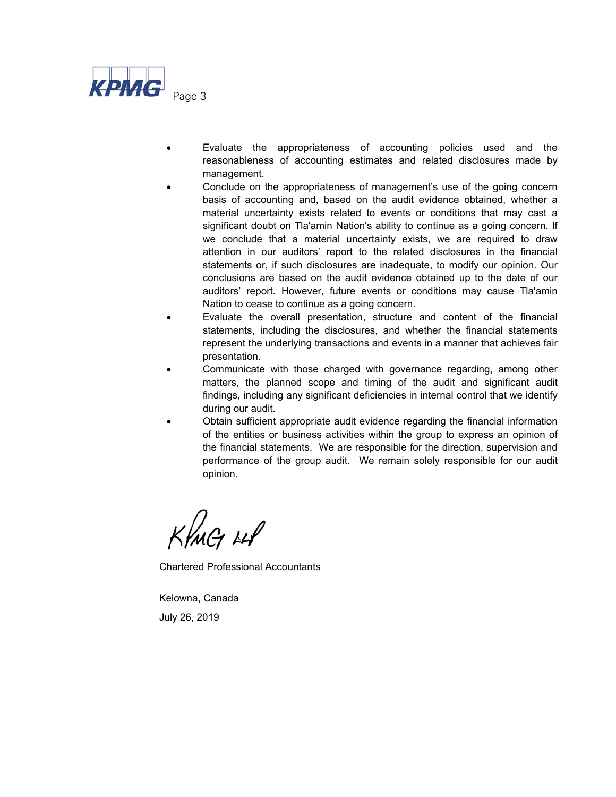

- Evaluate the appropriateness of accounting policies used and the reasonableness of accounting estimates and related disclosures made by management.
- Conclude on the appropriateness of management's use of the going concern basis of accounting and, based on the audit evidence obtained, whether a material uncertainty exists related to events or conditions that may cast a significant doubt on Tla'amin Nation's ability to continue as a going concern. If we conclude that a material uncertainty exists, we are required to draw attention in our auditors' report to the related disclosures in the financial statements or, if such disclosures are inadequate, to modify our opinion. Our conclusions are based on the audit evidence obtained up to the date of our auditors' report. However, future events or conditions may cause Tla'amin Nation to cease to continue as a going concern.
- Evaluate the overall presentation, structure and content of the financial statements, including the disclosures, and whether the financial statements represent the underlying transactions and events in a manner that achieves fair presentation.
- Communicate with those charged with governance regarding, among other matters, the planned scope and timing of the audit and significant audit findings, including any significant deficiencies in internal control that we identify during our audit.
- Obtain sufficient appropriate audit evidence regarding the financial information of the entities or business activities within the group to express an opinion of the financial statements. We are responsible for the direction, supervision and performance of the group audit. We remain solely responsible for our audit opinion.

KYMG HP

Chartered Professional Accountants

Kelowna, Canada July 26, 2019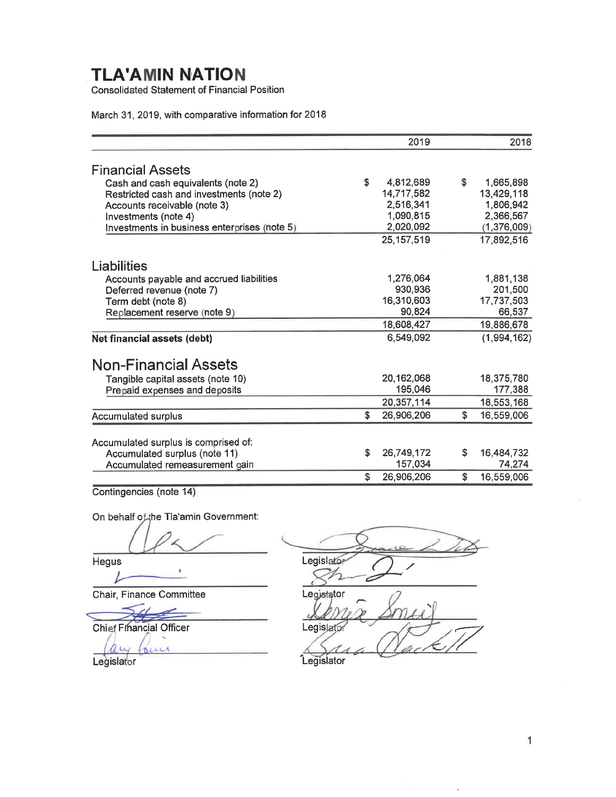**Consolidated Statement of Financial Position** 

March 31, 2019, with comparative information for 2018

|                                              |    | 2019         |     | 2018        |
|----------------------------------------------|----|--------------|-----|-------------|
| <b>Financial Assets</b>                      |    |              |     |             |
| Cash and cash equivalents (note 2)           | \$ | 4,812,689    | s.  | 1,665,898   |
| Restricted cash and investments (note 2)     |    | 14,717,582   |     | 13,429,118  |
| Accounts receivable (note 3)                 |    | 2,516,341    |     | 1,806,942   |
| Investments (note 4)                         |    | 1,090,815    |     | 2,366,567   |
| Investments in business enterprises (note 5) |    | 2,020,092    |     | (1,376,009) |
|                                              |    | 25, 157, 519 |     | 17,892,516  |
| <b>Liabilities</b>                           |    |              |     |             |
| Accounts payable and accrued liabilities     |    | 1,276,064    |     | 1,881,138   |
| Deferred revenue (note 7)                    |    | 930,936      |     | 201,500     |
| Term debt (note 8)                           |    | 16,310,603   |     | 17,737,503  |
| Replacement reserve (note 9)                 |    | 90,824       |     | 66,537      |
|                                              |    | 18,608,427   |     | 19,886,678  |
| Net financial assets (debt)                  |    | 6,549,092    |     | (1,994,162) |
| <b>Non-Financial Assets</b>                  |    |              |     |             |
| Tangible capital assets (note 10)            |    | 20,162,068   |     | 18,375,780  |
| Prepaid expenses and deposits                |    | 195,046      |     | 177,388     |
|                                              |    | 20,357,114   |     | 18,553,168  |
| <b>Accumulated surplus</b>                   | S. | 26,906,206   | S.  | 16,559,006  |
| Accumulated surplus is comprised of:         |    |              |     |             |
| Accumulated surplus (note 11)                | \$ | 26,749,172   | \$  | 16,484,732  |
| Accumulated remeasurement gain               |    | 157,034      |     | 74,274      |
|                                              | S. | 26,906,206   | \$. | 16,559,006  |
|                                              |    |              |     |             |

Contingencies (note 14)

On behalf of the Tla'amin Government:

ò,

**Hegus** 

Chair, Finance Committee

**Chief Financial Officer** 

our ā U.

Legislato Legistator

Legislato

Legislator

Legislator

J.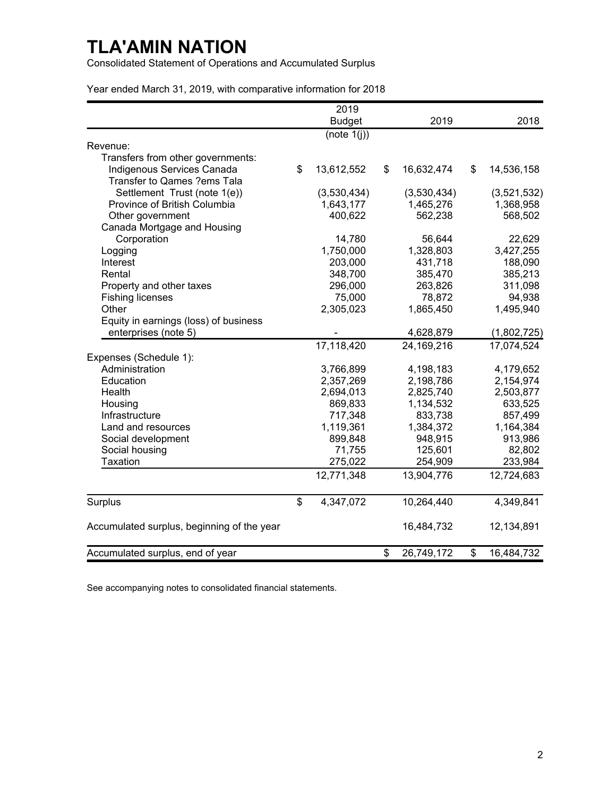Consolidated Statement of Operations and Accumulated Surplus

Year ended March 31, 2019, with comparative information for 2018

|                                            | 2019             |                  |                  |
|--------------------------------------------|------------------|------------------|------------------|
|                                            | <b>Budget</b>    | 2019             | 2018             |
|                                            | (note $1(j)$ )   |                  |                  |
| Revenue:                                   |                  |                  |                  |
| Transfers from other governments:          |                  |                  |                  |
| Indigenous Services Canada                 | \$<br>13,612,552 | \$<br>16,632,474 | \$<br>14,536,158 |
| Transfer to Qames ?ems Tala                |                  |                  |                  |
| Settlement Trust (note 1(e))               | (3,530,434)      | (3,530,434)      | (3,521,532)      |
| Province of British Columbia               | 1,643,177        | 1,465,276        | 1,368,958        |
| Other government                           | 400,622          | 562,238          | 568,502          |
| Canada Mortgage and Housing                |                  |                  |                  |
| Corporation                                | 14,780           | 56,644           | 22,629           |
| Logging                                    | 1,750,000        | 1,328,803        | 3,427,255        |
| Interest                                   | 203,000          | 431,718          | 188,090          |
| Rental                                     | 348,700          | 385,470          | 385,213          |
| Property and other taxes                   | 296,000          | 263,826          | 311,098          |
| <b>Fishing licenses</b>                    | 75,000           | 78,872           | 94,938           |
| Other                                      | 2,305,023        | 1,865,450        | 1,495,940        |
| Equity in earnings (loss) of business      |                  |                  |                  |
| enterprises (note 5)                       |                  | 4,628,879        | (1,802,725)      |
|                                            | 17,118,420       | 24,169,216       | 17,074,524       |
| Expenses (Schedule 1):                     |                  |                  |                  |
| Administration                             | 3,766,899        | 4,198,183        | 4,179,652        |
| Education                                  | 2,357,269        | 2,198,786        | 2,154,974        |
| Health                                     | 2,694,013        | 2,825,740        | 2,503,877        |
| Housing                                    | 869,833          | 1,134,532        | 633,525          |
| Infrastructure                             | 717,348          | 833,738          | 857,499          |
| Land and resources                         | 1,119,361        | 1,384,372        | 1,164,384        |
| Social development                         | 899,848          | 948,915          | 913,986          |
| Social housing                             | 71,755           | 125,601          | 82,802           |
| <b>Taxation</b>                            | 275,022          | 254,909          | 233,984          |
|                                            | 12,771,348       | 13,904,776       | 12,724,683       |
| Surplus                                    | \$<br>4,347,072  | 10,264,440       | 4,349,841        |
| Accumulated surplus, beginning of the year |                  | 16,484,732       | 12,134,891       |
| Accumulated surplus, end of year           |                  | \$<br>26,749,172 | \$<br>16,484,732 |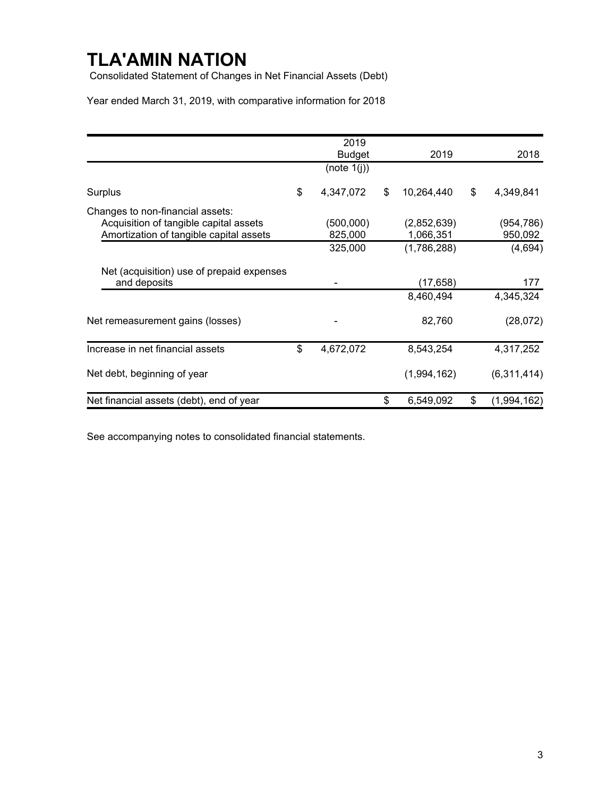Consolidated Statement of Changes in Net Financial Assets (Debt)

Year ended March 31, 2019, with comparative information for 2018

|                                                                                                                       | 2019<br><b>Budget</b>           |    | 2019                                    | 2018                            |
|-----------------------------------------------------------------------------------------------------------------------|---------------------------------|----|-----------------------------------------|---------------------------------|
|                                                                                                                       | (note $1(i)$ )                  |    |                                         |                                 |
| Surplus                                                                                                               | \$<br>4,347,072                 | \$ | 10,264,440                              | \$<br>4,349,841                 |
| Changes to non-financial assets:<br>Acquisition of tangible capital assets<br>Amortization of tangible capital assets | (500,000)<br>825,000<br>325,000 |    | (2,852,639)<br>1,066,351<br>(1,786,288) | (954,786)<br>950,092<br>(4,694) |
| Net (acquisition) use of prepaid expenses<br>and deposits                                                             |                                 |    | (17, 658)                               | 177                             |
|                                                                                                                       |                                 |    | 8,460,494                               | 4,345,324                       |
| Net remeasurement gains (losses)                                                                                      |                                 |    | 82,760                                  | (28,072)                        |
| Increase in net financial assets                                                                                      | \$<br>4,672,072                 |    | 8,543,254                               | 4,317,252                       |
| Net debt, beginning of year                                                                                           |                                 |    | (1,994,162)                             | (6,311,414)                     |
| Net financial assets (debt), end of year                                                                              |                                 | S  | 6,549,092                               | \$<br>(1,994,162)               |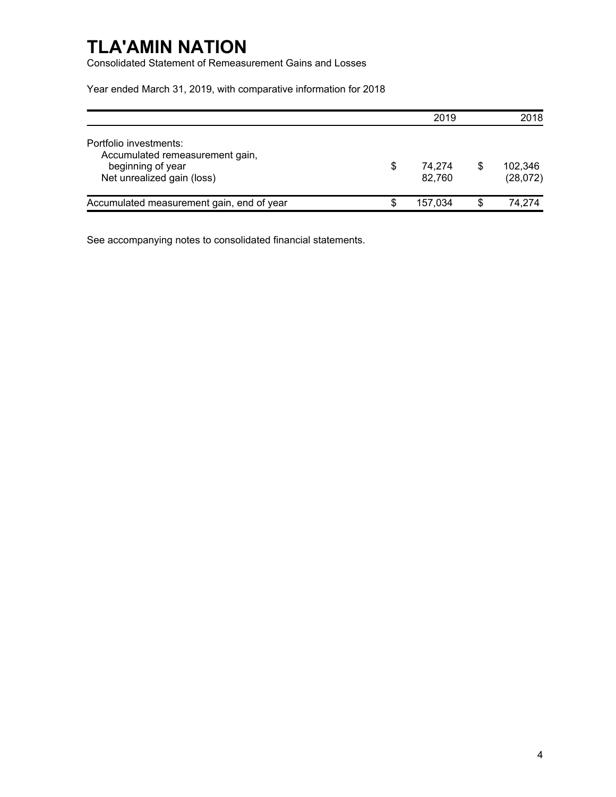Consolidated Statement of Remeasurement Gains and Losses

Year ended March 31, 2019, with comparative information for 2018

|                                                                                                              | 2019                   |    | 2018                |
|--------------------------------------------------------------------------------------------------------------|------------------------|----|---------------------|
| Portfolio investments:<br>Accumulated remeasurement gain,<br>beginning of year<br>Net unrealized gain (loss) | \$<br>74.274<br>82.760 | \$ | 102.346<br>(28,072) |
| Accumulated measurement gain, end of year                                                                    | 157.034                | S  | 74.274              |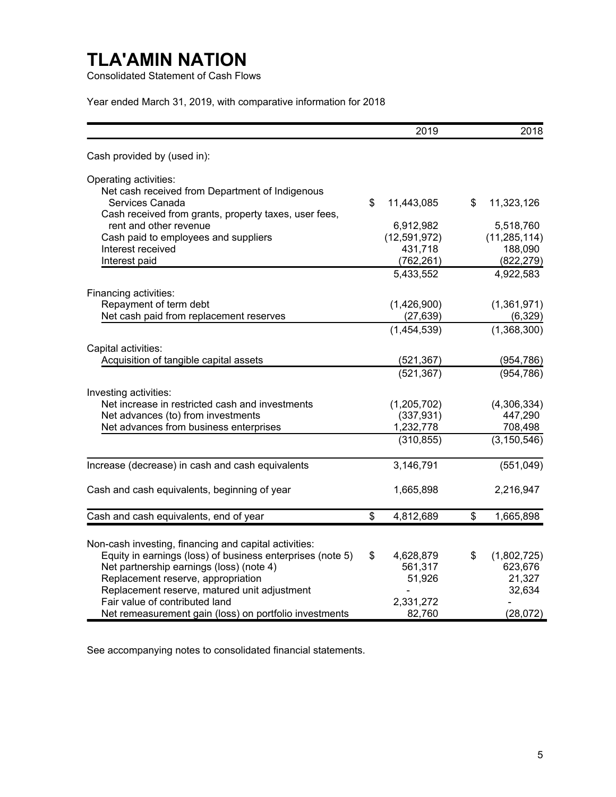Consolidated Statement of Cash Flows

Year ended March 31, 2019, with comparative information for 2018

|                                                                          | 2019             | 2018              |
|--------------------------------------------------------------------------|------------------|-------------------|
| Cash provided by (used in):                                              |                  |                   |
| Operating activities:                                                    |                  |                   |
| Net cash received from Department of Indigenous                          |                  |                   |
| Services Canada                                                          | \$<br>11,443,085 | \$<br>11,323,126  |
| Cash received from grants, property taxes, user fees,                    |                  |                   |
| rent and other revenue                                                   | 6,912,982        | 5,518,760         |
| Cash paid to employees and suppliers                                     | (12, 591, 972)   | (11, 285, 114)    |
| Interest received                                                        | 431,718          | 188,090           |
| Interest paid                                                            | (762, 261)       | (822, 279)        |
|                                                                          | 5,433,552        | 4,922,583         |
| Financing activities:                                                    |                  |                   |
| Repayment of term debt                                                   | (1,426,900)      | (1,361,971)       |
| Net cash paid from replacement reserves                                  | (27, 639)        | (6, 329)          |
|                                                                          | (1,454,539)      | (1,368,300)       |
| Capital activities:                                                      |                  |                   |
| Acquisition of tangible capital assets                                   | (521, 367)       | (954, 786)        |
|                                                                          | (521, 367)       | (954, 786)        |
|                                                                          |                  |                   |
| Investing activities:<br>Net increase in restricted cash and investments | (1,205,702)      | (4,306,334)       |
| Net advances (to) from investments                                       | (337, 931)       | 447,290           |
| Net advances from business enterprises                                   | 1,232,778        | 708,498           |
|                                                                          | (310, 855)       | (3, 150, 546)     |
|                                                                          |                  |                   |
| Increase (decrease) in cash and cash equivalents                         | 3,146,791        | (551,049)         |
| Cash and cash equivalents, beginning of year                             | 1,665,898        | 2,216,947         |
| Cash and cash equivalents, end of year                                   | \$<br>4,812,689  | \$<br>1,665,898   |
|                                                                          |                  |                   |
| Non-cash investing, financing and capital activities:                    |                  |                   |
| Equity in earnings (loss) of business enterprises (note 5)               | \$<br>4,628,879  | \$<br>(1,802,725) |
| Net partnership earnings (loss) (note 4)                                 | 561,317          | 623,676           |
| Replacement reserve, appropriation                                       | 51,926           | 21,327            |
| Replacement reserve, matured unit adjustment                             |                  | 32,634            |
| Fair value of contributed land                                           | 2,331,272        |                   |
| Net remeasurement gain (loss) on portfolio investments                   | 82,760           | (28,072)          |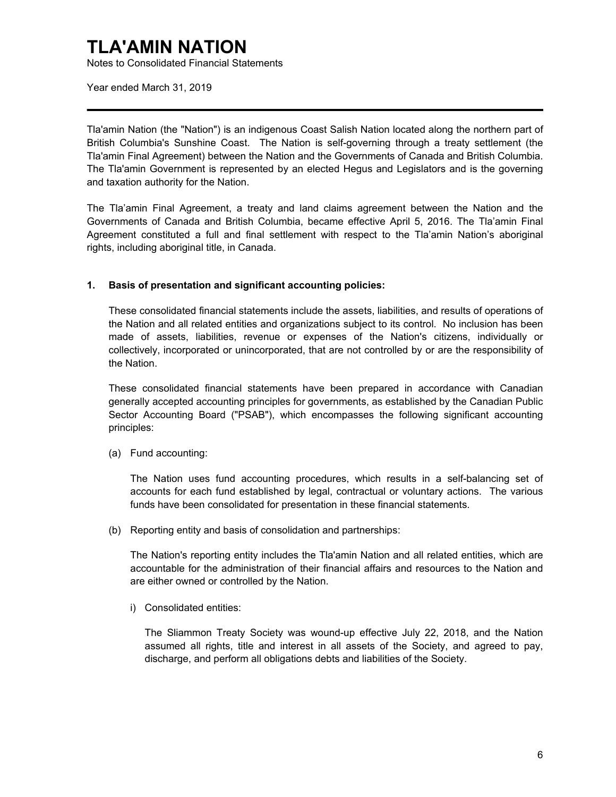Notes to Consolidated Financial Statements

Year ended March 31, 2019

Tla'amin Nation (the "Nation") is an indigenous Coast Salish Nation located along the northern part of British Columbia's Sunshine Coast. The Nation is self-governing through a treaty settlement (the Tla'amin Final Agreement) between the Nation and the Governments of Canada and British Columbia. The Tla'amin Government is represented by an elected Hegus and Legislators and is the governing and taxation authority for the Nation.

The Tla'amin Final Agreement, a treaty and land claims agreement between the Nation and the Governments of Canada and British Columbia, became effective April 5, 2016. The Tla'amin Final Agreement constituted a full and final settlement with respect to the Tla'amin Nation's aboriginal rights, including aboriginal title, in Canada.

#### **1. Basis of presentation and significant accounting policies:**

These consolidated financial statements include the assets, liabilities, and results of operations of the Nation and all related entities and organizations subject to its control. No inclusion has been made of assets, liabilities, revenue or expenses of the Nation's citizens, individually or collectively, incorporated or unincorporated, that are not controlled by or are the responsibility of the Nation.

These consolidated financial statements have been prepared in accordance with Canadian generally accepted accounting principles for governments, as established by the Canadian Public Sector Accounting Board ("PSAB"), which encompasses the following significant accounting principles:

(a) Fund accounting:

The Nation uses fund accounting procedures, which results in a self-balancing set of accounts for each fund established by legal, contractual or voluntary actions. The various funds have been consolidated for presentation in these financial statements.

(b) Reporting entity and basis of consolidation and partnerships:

The Nation's reporting entity includes the Tla'amin Nation and all related entities, which are accountable for the administration of their financial affairs and resources to the Nation and are either owned or controlled by the Nation.

i) Consolidated entities:

The Sliammon Treaty Society was wound-up effective July 22, 2018, and the Nation assumed all rights, title and interest in all assets of the Society, and agreed to pay, discharge, and perform all obligations debts and liabilities of the Society.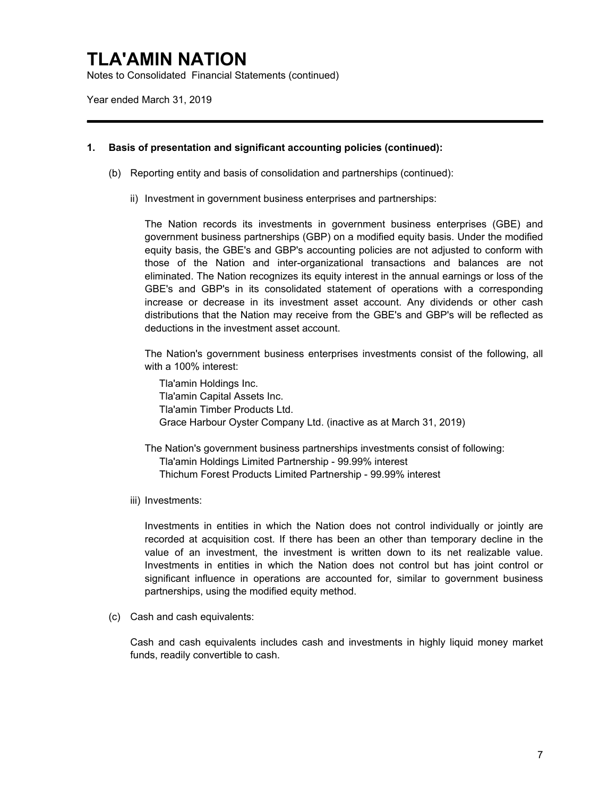Notes to Consolidated Financial Statements (continued)

Year ended March 31, 2019

#### **1. Basis of presentation and significant accounting policies (continued):**

- (b) Reporting entity and basis of consolidation and partnerships (continued):
	- ii) Investment in government business enterprises and partnerships:

The Nation records its investments in government business enterprises (GBE) and government business partnerships (GBP) on a modified equity basis. Under the modified equity basis, the GBE's and GBP's accounting policies are not adjusted to conform with those of the Nation and inter-organizational transactions and balances are not eliminated. The Nation recognizes its equity interest in the annual earnings or loss of the GBE's and GBP's in its consolidated statement of operations with a corresponding increase or decrease in its investment asset account. Any dividends or other cash distributions that the Nation may receive from the GBE's and GBP's will be reflected as deductions in the investment asset account.

The Nation's government business enterprises investments consist of the following, all with a 100% interest:

Tla'amin Holdings Inc. Tla'amin Capital Assets Inc. Tla'amin Timber Products Ltd. Grace Harbour Oyster Company Ltd. (inactive as at March 31, 2019)

The Nation's government business partnerships investments consist of following: Tla'amin Holdings Limited Partnership - 99.99% interest Thichum Forest Products Limited Partnership - 99.99% interest

iii) Investments:

Investments in entities in which the Nation does not control individually or jointly are recorded at acquisition cost. If there has been an other than temporary decline in the value of an investment, the investment is written down to its net realizable value. Investments in entities in which the Nation does not control but has joint control or significant influence in operations are accounted for, similar to government business partnerships, using the modified equity method.

(c) Cash and cash equivalents:

Cash and cash equivalents includes cash and investments in highly liquid money market funds, readily convertible to cash.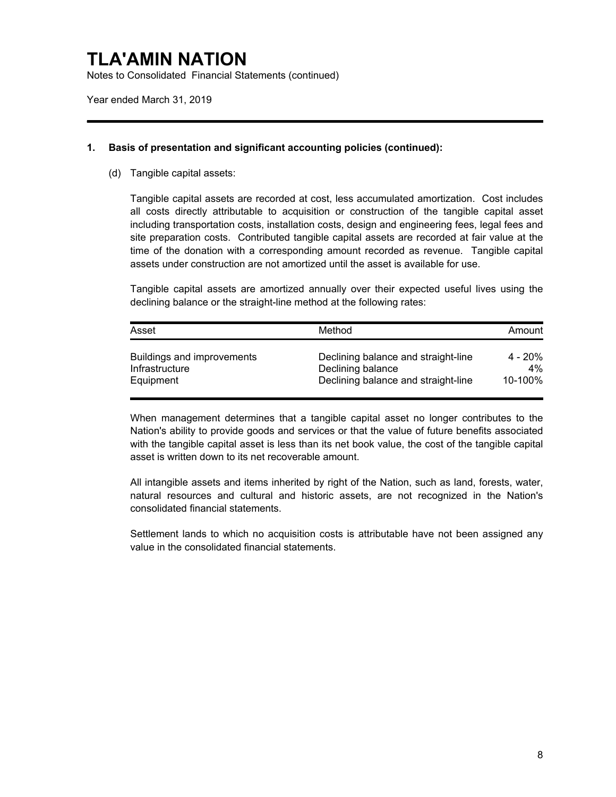Notes to Consolidated Financial Statements (continued)

Year ended March 31, 2019

#### **1. Basis of presentation and significant accounting policies (continued):**

(d) Tangible capital assets:

Tangible capital assets are recorded at cost, less accumulated amortization. Cost includes all costs directly attributable to acquisition or construction of the tangible capital asset including transportation costs, installation costs, design and engineering fees, legal fees and site preparation costs. Contributed tangible capital assets are recorded at fair value at the time of the donation with a corresponding amount recorded as revenue. Tangible capital assets under construction are not amortized until the asset is available for use.

Tangible capital assets are amortized annually over their expected useful lives using the declining balance or the straight-line method at the following rates:

| Asset                      | Method                              | Amount    |
|----------------------------|-------------------------------------|-----------|
| Buildings and improvements | Declining balance and straight-line | $4 - 20%$ |
| Infrastructure             | Declining balance                   | 4%        |
| Equipment                  | Declining balance and straight-line | 10-100%   |

When management determines that a tangible capital asset no longer contributes to the Nation's ability to provide goods and services or that the value of future benefits associated with the tangible capital asset is less than its net book value, the cost of the tangible capital asset is written down to its net recoverable amount.

All intangible assets and items inherited by right of the Nation, such as land, forests, water, natural resources and cultural and historic assets, are not recognized in the Nation's consolidated financial statements.

Settlement lands to which no acquisition costs is attributable have not been assigned any value in the consolidated financial statements.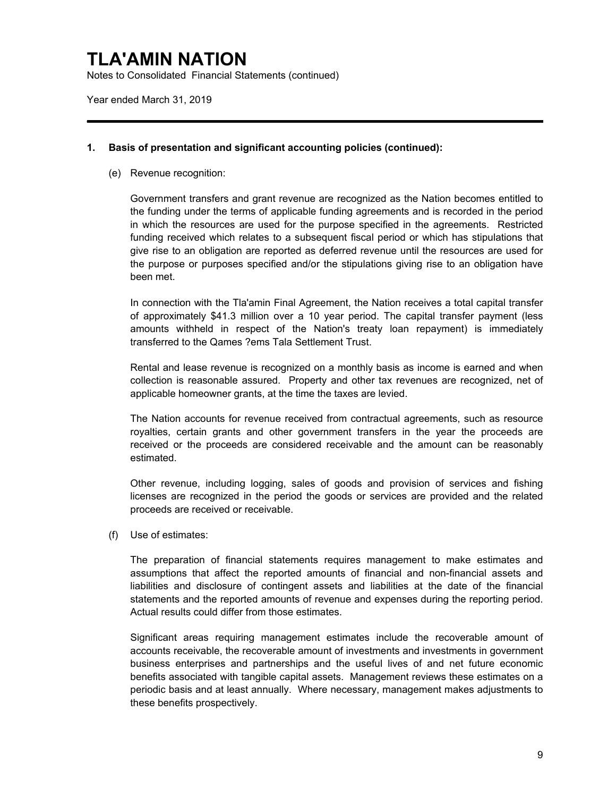Notes to Consolidated Financial Statements (continued)

Year ended March 31, 2019

#### **1. Basis of presentation and significant accounting policies (continued):**

(e) Revenue recognition:

Government transfers and grant revenue are recognized as the Nation becomes entitled to the funding under the terms of applicable funding agreements and is recorded in the period in which the resources are used for the purpose specified in the agreements. Restricted funding received which relates to a subsequent fiscal period or which has stipulations that give rise to an obligation are reported as deferred revenue until the resources are used for the purpose or purposes specified and/or the stipulations giving rise to an obligation have been met.

In connection with the Tla'amin Final Agreement, the Nation receives a total capital transfer of approximately \$41.3 million over a 10 year period. The capital transfer payment (less amounts withheld in respect of the Nation's treaty loan repayment) is immediately transferred to the Qames ?ems Tala Settlement Trust.

Rental and lease revenue is recognized on a monthly basis as income is earned and when collection is reasonable assured. Property and other tax revenues are recognized, net of applicable homeowner grants, at the time the taxes are levied.

The Nation accounts for revenue received from contractual agreements, such as resource royalties, certain grants and other government transfers in the year the proceeds are received or the proceeds are considered receivable and the amount can be reasonably estimated.

Other revenue, including logging, sales of goods and provision of services and fishing licenses are recognized in the period the goods or services are provided and the related proceeds are received or receivable.

(f) Use of estimates:

The preparation of financial statements requires management to make estimates and assumptions that affect the reported amounts of financial and non-financial assets and liabilities and disclosure of contingent assets and liabilities at the date of the financial statements and the reported amounts of revenue and expenses during the reporting period. Actual results could differ from those estimates.

Significant areas requiring management estimates include the recoverable amount of accounts receivable, the recoverable amount of investments and investments in government business enterprises and partnerships and the useful lives of and net future economic benefits associated with tangible capital assets. Management reviews these estimates on a periodic basis and at least annually. Where necessary, management makes adjustments to these benefits prospectively.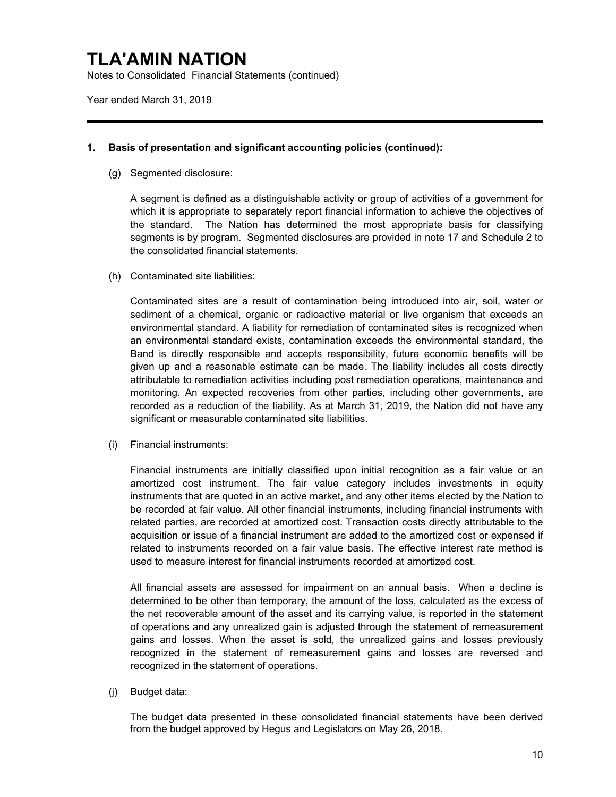Notes to Consolidated Financial Statements (continued)

Year ended March 31, 2019

#### **1. Basis of presentation and significant accounting policies (continued):**

(g) Segmented disclosure:

A segment is defined as a distinguishable activity or group of activities of a government for which it is appropriate to separately report financial information to achieve the objectives of the standard. The Nation has determined the most appropriate basis for classifying segments is by program. Segmented disclosures are provided in note 17 and Schedule 2 to the consolidated financial statements.

(h) Contaminated site liabilities:

Contaminated sites are a result of contamination being introduced into air, soil, water or sediment of a chemical, organic or radioactive material or live organism that exceeds an environmental standard. A liability for remediation of contaminated sites is recognized when an environmental standard exists, contamination exceeds the environmental standard, the Band is directly responsible and accepts responsibility, future economic benefits will be given up and a reasonable estimate can be made. The liability includes all costs directly attributable to remediation activities including post remediation operations, maintenance and monitoring. An expected recoveries from other parties, including other governments, are recorded as a reduction of the liability. As at March 31, 2019, the Nation did not have any significant or measurable contaminated site liabilities.

(i) Financial instruments:

Financial instruments are initially classified upon initial recognition as a fair value or an amortized cost instrument. The fair value category includes investments in equity instruments that are quoted in an active market, and any other items elected by the Nation to be recorded at fair value. All other financial instruments, including financial instruments with related parties, are recorded at amortized cost. Transaction costs directly attributable to the acquisition or issue of a financial instrument are added to the amortized cost or expensed if related to instruments recorded on a fair value basis. The effective interest rate method is used to measure interest for financial instruments recorded at amortized cost.

All financial assets are assessed for impairment on an annual basis. When a decline is determined to be other than temporary, the amount of the loss, calculated as the excess of the net recoverable amount of the asset and its carrying value, is reported in the statement of operations and any unrealized gain is adjusted through the statement of remeasurement gains and losses. When the asset is sold, the unrealized gains and losses previously recognized in the statement of remeasurement gains and losses are reversed and recognized in the statement of operations.

(j) Budget data:

The budget data presented in these consolidated financial statements have been derived from the budget approved by Hegus and Legislators on May 26, 2018.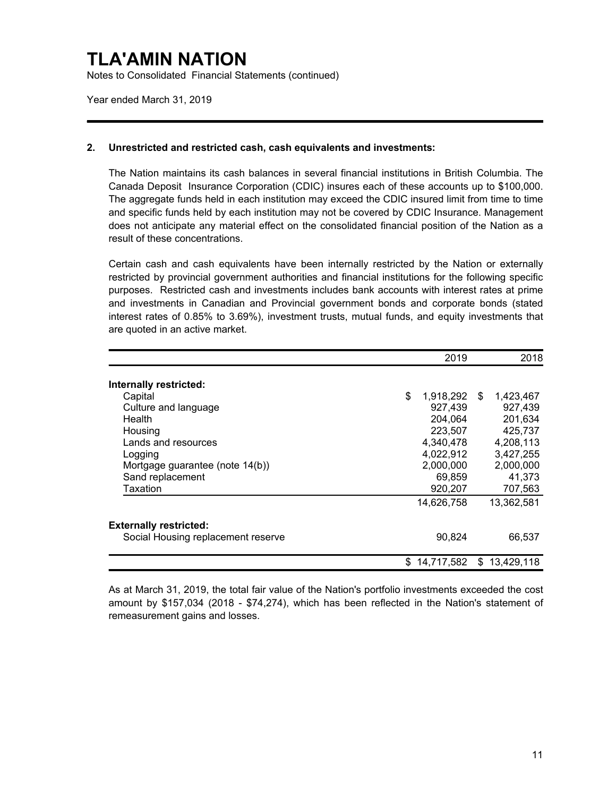Notes to Consolidated Financial Statements (continued)

Year ended March 31, 2019

#### **2. Unrestricted and restricted cash, cash equivalents and investments:**

The Nation maintains its cash balances in several financial institutions in British Columbia. The Canada Deposit Insurance Corporation (CDIC) insures each of these accounts up to \$100,000. The aggregate funds held in each institution may exceed the CDIC insured limit from time to time and specific funds held by each institution may not be covered by CDIC Insurance. Management does not anticipate any material effect on the consolidated financial position of the Nation as a result of these concentrations.

Certain cash and cash equivalents have been internally restricted by the Nation or externally restricted by provincial government authorities and financial institutions for the following specific purposes. Restricted cash and investments includes bank accounts with interest rates at prime and investments in Canadian and Provincial government bonds and corporate bonds (stated interest rates of 0.85% to 3.69%), investment trusts, mutual funds, and equity investments that are quoted in an active market.

|                                    | 2019               | 2018         |
|------------------------------------|--------------------|--------------|
| Internally restricted:             |                    |              |
| Capital                            | \$<br>1,918,292 \$ | 1,423,467    |
| Culture and language               | 927,439            | 927,439      |
| Health                             | 204,064            | 201,634      |
| Housing                            | 223,507            | 425,737      |
| Lands and resources                | 4,340,478          | 4,208,113    |
| Logging                            | 4,022,912          | 3,427,255    |
| Mortgage guarantee (note 14(b))    | 2,000,000          | 2,000,000    |
| Sand replacement                   | 69,859             | 41,373       |
| Taxation                           | 920,207            | 707,563      |
|                                    | 14,626,758         | 13,362,581   |
| <b>Externally restricted:</b>      |                    |              |
| Social Housing replacement reserve | 90,824             | 66,537       |
|                                    | \$<br>14,717,582   | \$13,429,118 |

As at March 31, 2019, the total fair value of the Nation's portfolio investments exceeded the cost amount by \$157,034 (2018 - \$74,274), which has been reflected in the Nation's statement of remeasurement gains and losses.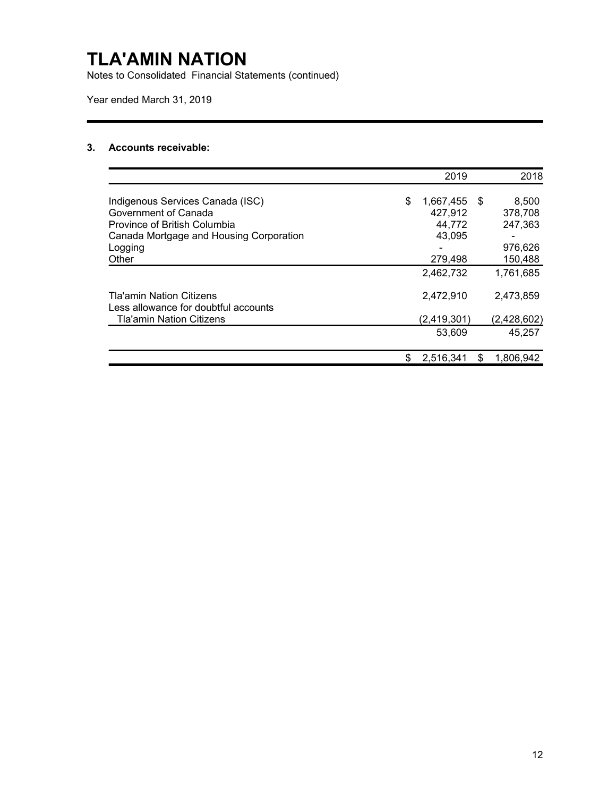Notes to Consolidated Financial Statements (continued)

Year ended March 31, 2019

#### **3. Accounts receivable:**

|                                                                  | 2019            |      | 2018        |
|------------------------------------------------------------------|-----------------|------|-------------|
| Indigenous Services Canada (ISC)                                 | \$<br>1,667,455 | - \$ | 8,500       |
| Government of Canada                                             | 427,912         |      | 378,708     |
| Province of British Columbia                                     | 44,772          |      | 247,363     |
| Canada Mortgage and Housing Corporation                          | 43.095          |      |             |
| Logging                                                          |                 |      | 976.626     |
| Other                                                            | 279,498         |      | 150,488     |
|                                                                  | 2,462,732       |      | 1,761,685   |
| Tla'amin Nation Citizens<br>Less allowance for doubtful accounts | 2,472,910       |      | 2,473,859   |
| <b>Tla'amin Nation Citizens</b>                                  | (2,419,301)     |      | (2,428,602) |
|                                                                  | 53,609          |      | 45,257      |
|                                                                  | 2,516,341       | \$.  | 1,806,942   |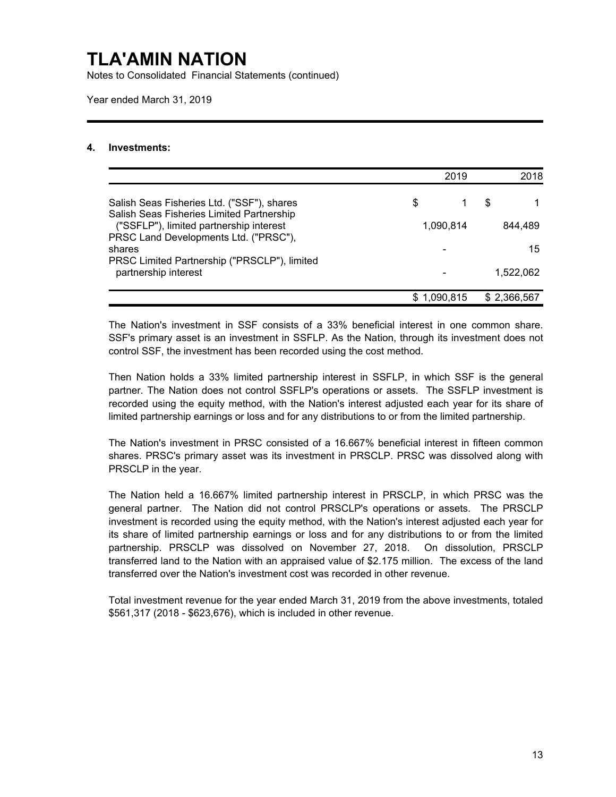Notes to Consolidated Financial Statements (continued)

Year ended March 31, 2019

#### **4. Investments:**

|                                                                                      | 2019      | 2018        |
|--------------------------------------------------------------------------------------|-----------|-------------|
| Salish Seas Fisheries Ltd. ("SSF"), shares                                           | \$        | \$          |
| Salish Seas Fisheries Limited Partnership<br>("SSFLP"), limited partnership interest | 1,090,814 | 844.489     |
| PRSC Land Developments Ltd. ("PRSC"),<br>shares                                      |           | 15          |
| PRSC Limited Partnership ("PRSCLP"), limited<br>partnership interest                 |           | 1,522,062   |
|                                                                                      | 1,090,815 | \$2,366,567 |

The Nation's investment in SSF consists of a 33% beneficial interest in one common share. SSF's primary asset is an investment in SSFLP. As the Nation, through its investment does not control SSF, the investment has been recorded using the cost method.

Then Nation holds a 33% limited partnership interest in SSFLP, in which SSF is the general partner. The Nation does not control SSFLP's operations or assets. The SSFLP investment is recorded using the equity method, with the Nation's interest adjusted each year for its share of limited partnership earnings or loss and for any distributions to or from the limited partnership.

The Nation's investment in PRSC consisted of a 16.667% beneficial interest in fifteen common shares. PRSC's primary asset was its investment in PRSCLP. PRSC was dissolved along with PRSCLP in the year.

The Nation held a 16.667% limited partnership interest in PRSCLP, in which PRSC was the general partner. The Nation did not control PRSCLP's operations or assets. The PRSCLP investment is recorded using the equity method, with the Nation's interest adjusted each year for its share of limited partnership earnings or loss and for any distributions to or from the limited partnership. PRSCLP was dissolved on November 27, 2018. On dissolution, PRSCLP transferred land to the Nation with an appraised value of \$2.175 million. The excess of the land transferred over the Nation's investment cost was recorded in other revenue.

Total investment revenue for the year ended March 31, 2019 from the above investments, totaled \$561,317 (2018 - \$623,676), which is included in other revenue.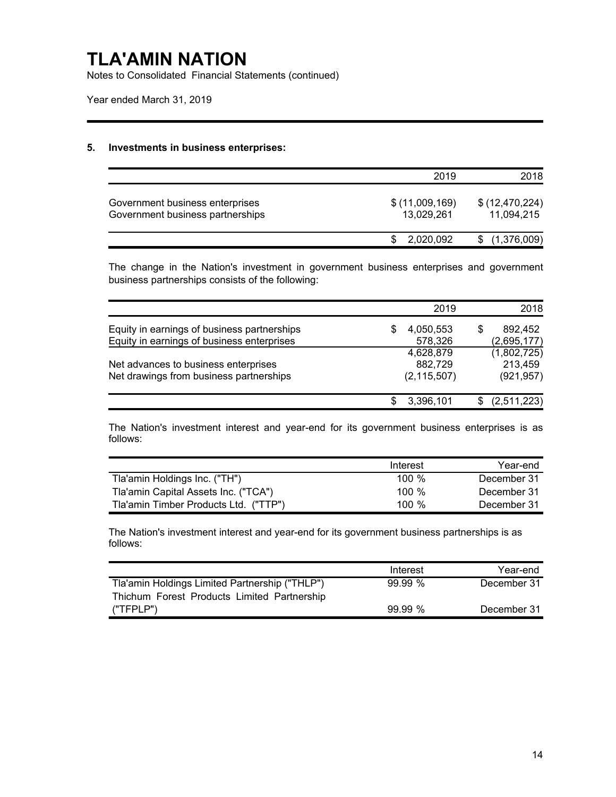Notes to Consolidated Financial Statements (continued)

Year ended March 31, 2019

#### **5. Investments in business enterprises:**

|                                                                     | 2019                         | 2018                           |
|---------------------------------------------------------------------|------------------------------|--------------------------------|
| Government business enterprises<br>Government business partnerships | \$(11,009,169)<br>13,029,261 | \$(12, 470, 224)<br>11,094,215 |
|                                                                     | 2,020,092                    | \$(1,376,009)                  |

The change in the Nation's investment in government business enterprises and government business partnerships consists of the following:

|                                             | 2019          |   | 2018        |
|---------------------------------------------|---------------|---|-------------|
| Equity in earnings of business partnerships | 4,050,553     | S | 892.452     |
| Equity in earnings of business enterprises  | 578,326       |   | (2,695,177) |
|                                             | 4,628,879     |   | (1,802,725) |
| Net advances to business enterprises        | 882,729       |   | 213,459     |
| Net drawings from business partnerships     | (2, 115, 507) |   | (921, 957)  |
|                                             | 3.396.101     |   | (2,511,223) |

The Nation's investment interest and year-end for its government business enterprises is as follows:

|                                       | Interest | Year-end    |
|---------------------------------------|----------|-------------|
| Tla'amin Holdings Inc. ("TH")         | 100 $%$  | December 31 |
| Tla'amin Capital Assets Inc. ("TCA")  | 100 $%$  | December 31 |
| Tla'amin Timber Products Ltd. ("TTP") | 100 $%$  | December 31 |

The Nation's investment interest and year-end for its government business partnerships is as follows:

|                                                | Interest | Year-end    |
|------------------------------------------------|----------|-------------|
| Tla'amin Holdings Limited Partnership ("THLP") | 99.99 %  | December 31 |
| Thichum Forest Products Limited Partnership    |          |             |
| ("TFPLP")                                      | 99.99 %  | December 31 |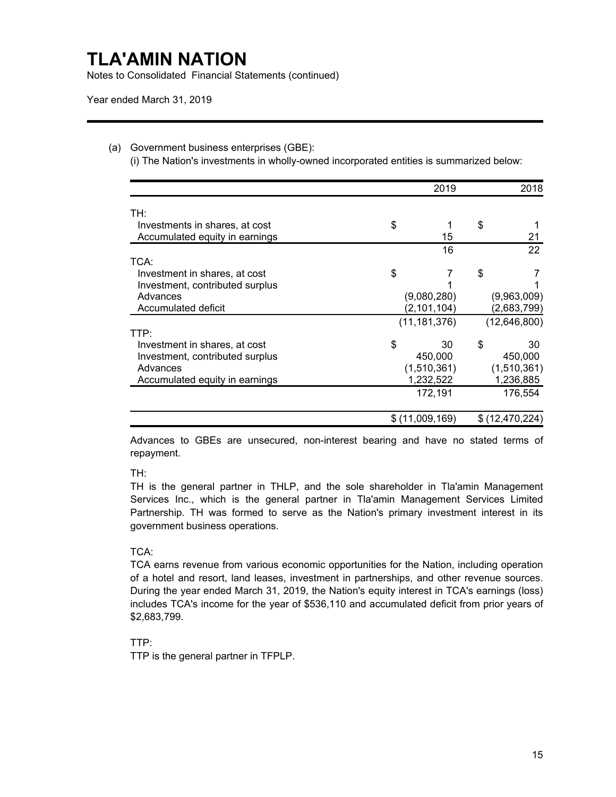Notes to Consolidated Financial Statements (continued)

Year ended March 31, 2019

#### (a) Government business enterprises (GBE):

(i) The Nation's investments in wholly-owned incorporated entities is summarized below:

|                                 | 2019 |                |             | 2018             |  |
|---------------------------------|------|----------------|-------------|------------------|--|
| TH:                             |      |                |             |                  |  |
| Investments in shares, at cost  | \$   |                | \$          |                  |  |
| Accumulated equity in earnings  |      | 15             |             | 21               |  |
|                                 |      | 16             |             | 22               |  |
| TCA:                            |      |                |             |                  |  |
| Investment in shares, at cost   | \$   |                | \$          |                  |  |
| Investment, contributed surplus |      |                |             |                  |  |
| Advances                        |      | (9,080,280)    | (9,963,009) |                  |  |
| Accumulated deficit             |      | (2,101,104)    |             | (2,683,799)      |  |
|                                 |      | (11, 181, 376) |             | (12,646,800)     |  |
| TTP:                            |      |                |             |                  |  |
| Investment in shares, at cost   | \$   | 30             | \$          | 30               |  |
| Investment, contributed surplus |      | 450,000        |             | 450,000          |  |
| Advances                        |      | (1,510,361)    |             | (1,510,361)      |  |
| Accumulated equity in earnings  |      | 1,232,522      |             | 1,236,885        |  |
|                                 |      | 172,191        |             | 176,554          |  |
|                                 |      | \$(11,009,169) |             | \$(12, 470, 224) |  |

Advances to GBEs are unsecured, non-interest bearing and have no stated terms of repayment.

#### TH:

TH is the general partner in THLP, and the sole shareholder in Tla'amin Management Services Inc., which is the general partner in Tla'amin Management Services Limited Partnership. TH was formed to serve as the Nation's primary investment interest in its government business operations.

#### TCA:

TCA earns revenue from various economic opportunities for the Nation, including operation of a hotel and resort, land leases, investment in partnerships, and other revenue sources. During the year ended March 31, 2019, the Nation's equity interest in TCA's earnings (loss) includes TCA's income for the year of \$536,110 and accumulated deficit from prior years of \$2,683,799.

TTP: TTP is the general partner in TFPLP.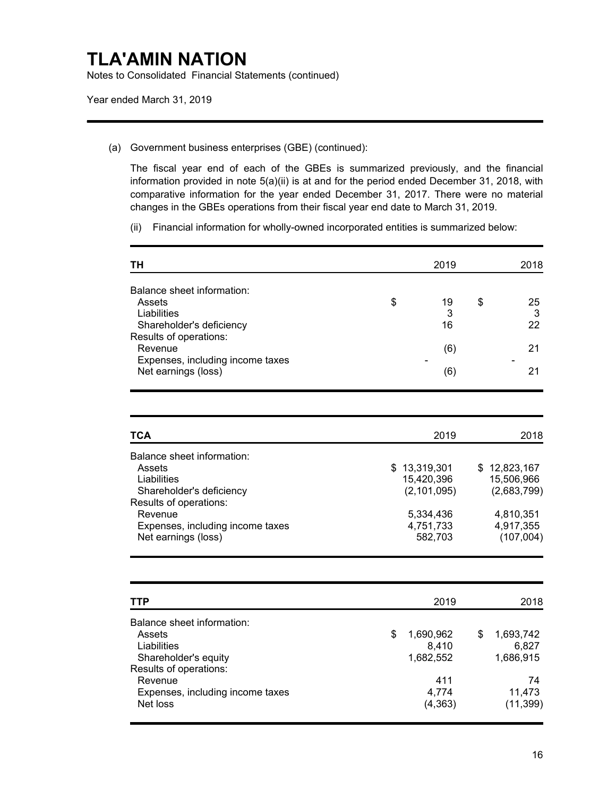Notes to Consolidated Financial Statements (continued)

Year ended March 31, 2019

#### (a) Government business enterprises (GBE) (continued):

The fiscal year end of each of the GBEs is summarized previously, and the financial information provided in note 5(a)(ii) is at and for the period ended December 31, 2018, with comparative information for the year ended December 31, 2017. There were no material changes in the GBEs operations from their fiscal year end date to March 31, 2019.

(ii) Financial information for wholly-owned incorporated entities is summarized below:

| TН                                                                                                                                                                              | 2019 |                                                                                  |    |                                                                                  |
|---------------------------------------------------------------------------------------------------------------------------------------------------------------------------------|------|----------------------------------------------------------------------------------|----|----------------------------------------------------------------------------------|
| Balance sheet information:<br>Assets<br>Liabilities<br>Shareholder's deficiency<br>Results of operations:<br>Revenue<br>Expenses, including income taxes<br>Net earnings (loss) | \$   | 19<br>3<br>16<br>(6)<br>(6)                                                      | \$ | 25<br>3<br>22<br>21<br>21                                                        |
|                                                                                                                                                                                 |      |                                                                                  |    |                                                                                  |
| <b>TCA</b>                                                                                                                                                                      |      | 2019                                                                             |    | 2018                                                                             |
| Balance sheet information:<br>Assets<br>Liabilities<br>Shareholder's deficiency<br>Results of operations:<br>Revenue<br>Expenses, including income taxes<br>Net earnings (loss) |      | \$13,319,301<br>15,420,396<br>(2, 101, 095)<br>5,334,436<br>4,751,733<br>582,703 |    | \$12,823,167<br>15,506,966<br>(2,683,799)<br>4,810,351<br>4,917,355<br>(107,004) |
| <b>TTP</b>                                                                                                                                                                      |      | 2019                                                                             |    | 2018                                                                             |
| Balance sheet information:<br>Assets<br>Liabilities<br>Shareholder's equity<br>Results of operations:<br>Revenue<br>Expenses, including income taxes<br>Net loss                | \$   | 1,690,962<br>8,410<br>1,682,552<br>411<br>4,774<br>(4, 363)                      | \$ | 1,693,742<br>6,827<br>1,686,915<br>74<br>11,473<br>(11, 399)                     |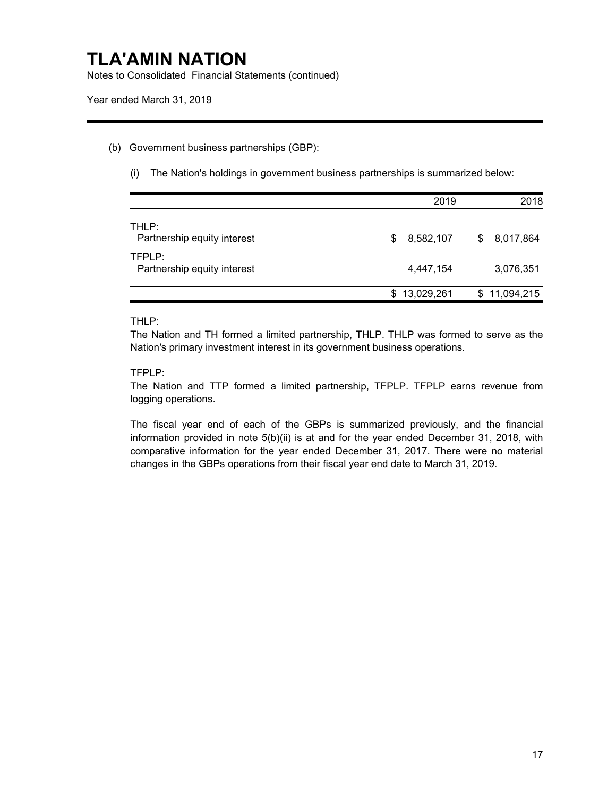Notes to Consolidated Financial Statements (continued)

#### Year ended March 31, 2019

#### (b) Government business partnerships (GBP):

(i) The Nation's holdings in government business partnerships is summarized below:

|                                       |    | 2019         |    | 2018         |
|---------------------------------------|----|--------------|----|--------------|
| THLP:<br>Partnership equity interest  | S. | 8,582,107    | S. | 8,017,864    |
| TFPLP:<br>Partnership equity interest |    | 4,447,154    |    | 3,076,351    |
|                                       |    | \$13,029,261 |    | \$11,094,215 |

#### THLP:

The Nation and TH formed a limited partnership, THLP. THLP was formed to serve as the Nation's primary investment interest in its government business operations.

#### TFPLP:

The Nation and TTP formed a limited partnership, TFPLP. TFPLP earns revenue from logging operations.

The fiscal year end of each of the GBPs is summarized previously, and the financial information provided in note 5(b)(ii) is at and for the year ended December 31, 2018, with comparative information for the year ended December 31, 2017. There were no material changes in the GBPs operations from their fiscal year end date to March 31, 2019.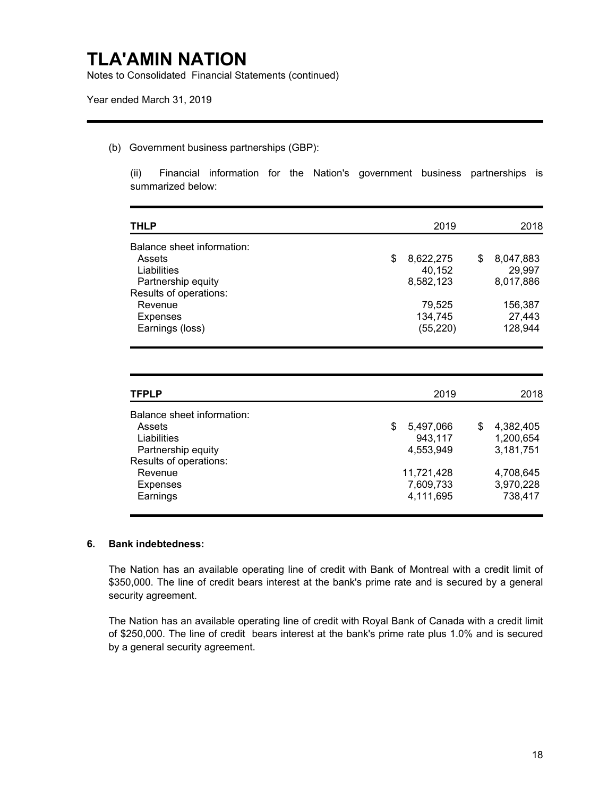Notes to Consolidated Financial Statements (continued)

#### (b) Government business partnerships (GBP):

(ii) Financial information for the Nation's government business partnerships is summarized below:

| <b>THLP</b>                 |    | 2019                   |    | 2018                   |  |
|-----------------------------|----|------------------------|----|------------------------|--|
| Balance sheet information:  |    |                        |    |                        |  |
| Assets                      | \$ | 8,622,275              | \$ | 8,047,883              |  |
| Liabilities                 |    | 40,152                 |    | 29,997                 |  |
| Partnership equity          |    | 8,582,123              |    | 8,017,886              |  |
| Results of operations:      |    |                        |    |                        |  |
| Revenue                     |    | 79,525                 |    | 156,387                |  |
| <b>Expenses</b>             |    | 134,745                |    | 27,443                 |  |
| Earnings (loss)             |    | (55, 220)              |    | 128,944                |  |
|                             |    |                        |    |                        |  |
| <b>TFPLP</b>                |    | 2019                   |    | 2018                   |  |
| Balance sheet information:  |    |                        |    |                        |  |
| Assets                      | \$ |                        | \$ |                        |  |
| Liabilities                 |    | 5,497,066<br>943,117   |    | 4,382,405<br>1,200,654 |  |
| Partnership equity          |    | 4,553,949              |    | 3,181,751              |  |
| Results of operations:      |    |                        |    |                        |  |
| Revenue                     |    | 11,721,428             |    | 4,708,645              |  |
| <b>Expenses</b><br>Earnings |    | 7,609,733<br>4,111,695 |    | 3,970,228<br>738,417   |  |

#### **6. Bank indebtedness:**

The Nation has an available operating line of credit with Bank of Montreal with a credit limit of \$350,000. The line of credit bears interest at the bank's prime rate and is secured by a general security agreement.

The Nation has an available operating line of credit with Royal Bank of Canada with a credit limit of \$250,000. The line of credit bears interest at the bank's prime rate plus 1.0% and is secured by a general security agreement.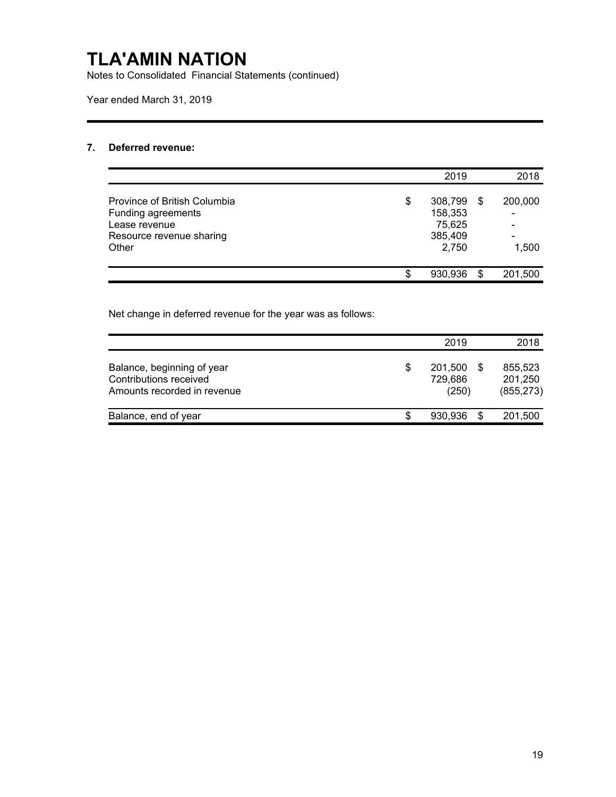Notes to Consolidated Financial Statements (continued)

Year ended March 31, 2019

#### **7. Deferred revenue:**

|                                                                                                          | 2019                                                   |      | 2018                                              |
|----------------------------------------------------------------------------------------------------------|--------------------------------------------------------|------|---------------------------------------------------|
| Province of British Columbia<br>Funding agreements<br>Lease revenue<br>Resource revenue sharing<br>Other | \$<br>308,799<br>158,353<br>75,625<br>385,409<br>2,750 | - \$ | 200,000<br>۰<br>$\overline{\phantom{0}}$<br>1,500 |
|                                                                                                          | \$<br>930,936                                          | \$   | 201,500                                           |

Net change in deferred revenue for the year was as follows:

|                                                                                     |   | 2019                        | 2018                             |
|-------------------------------------------------------------------------------------|---|-----------------------------|----------------------------------|
| Balance, beginning of year<br>Contributions received<br>Amounts recorded in revenue |   | 201,500<br>729,686<br>(250) | 855,523<br>201,250<br>(855, 273) |
| Balance, end of year                                                                | S | 930.936                     | 201,500                          |
|                                                                                     |   |                             |                                  |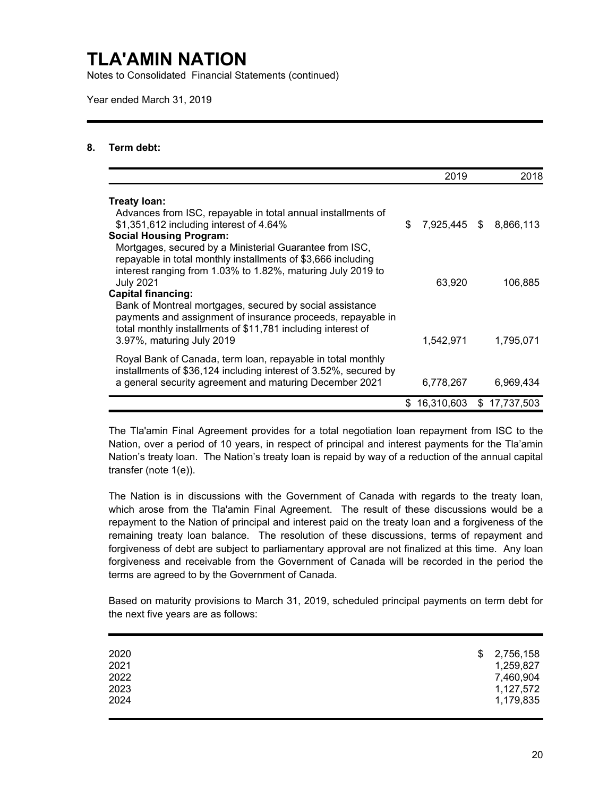Notes to Consolidated Financial Statements (continued)

Year ended March 31, 2019

#### **8. Term debt:**

|                                                                                                                                                                                                                      |     | 2019         | 2018         |
|----------------------------------------------------------------------------------------------------------------------------------------------------------------------------------------------------------------------|-----|--------------|--------------|
| Treaty loan:                                                                                                                                                                                                         |     |              |              |
| Advances from ISC, repayable in total annual installments of                                                                                                                                                         |     |              |              |
| \$1,351,612 including interest of 4.64%                                                                                                                                                                              | \$. | 7,925,445 \$ | 8,866,113    |
| <b>Social Housing Program:</b>                                                                                                                                                                                       |     |              |              |
| Mortgages, secured by a Ministerial Guarantee from ISC,<br>repayable in total monthly installments of \$3,666 including<br>interest ranging from 1.03% to 1.82%, maturing July 2019 to<br><b>July 2021</b>           |     | 63,920       | 106,885      |
| <b>Capital financing:</b>                                                                                                                                                                                            |     |              |              |
| Bank of Montreal mortgages, secured by social assistance<br>payments and assignment of insurance proceeds, repayable in<br>total monthly installments of \$11,781 including interest of<br>3.97%, maturing July 2019 |     | 1,542,971    | 1,795,071    |
| Royal Bank of Canada, term loan, repayable in total monthly<br>installments of \$36,124 including interest of 3.52%, secured by<br>a general security agreement and maturing December 2021                           |     | 6,778,267    | 6,969,434    |
|                                                                                                                                                                                                                      |     | \$16,310,603 | \$17,737,503 |

The Tla'amin Final Agreement provides for a total negotiation loan repayment from ISC to the Nation, over a period of 10 years, in respect of principal and interest payments for the Tla'amin Nation's treaty loan. The Nation's treaty loan is repaid by way of a reduction of the annual capital transfer (note 1(e)).

The Nation is in discussions with the Government of Canada with regards to the treaty loan, which arose from the Tla'amin Final Agreement. The result of these discussions would be a repayment to the Nation of principal and interest paid on the treaty loan and a forgiveness of the remaining treaty loan balance. The resolution of these discussions, terms of repayment and forgiveness of debt are subject to parliamentary approval are not finalized at this time. Any loan forgiveness and receivable from the Government of Canada will be recorded in the period the terms are agreed to by the Government of Canada.

Based on maturity provisions to March 31, 2019, scheduled principal payments on term debt for the next five years are as follows:

| 2020 | \$<br>2,756,158 |
|------|-----------------|
| 2021 | 1,259,827       |
| 2022 | 7,460,904       |
| 2023 | 1,127,572       |
| 2024 | 1,179,835       |
|      |                 |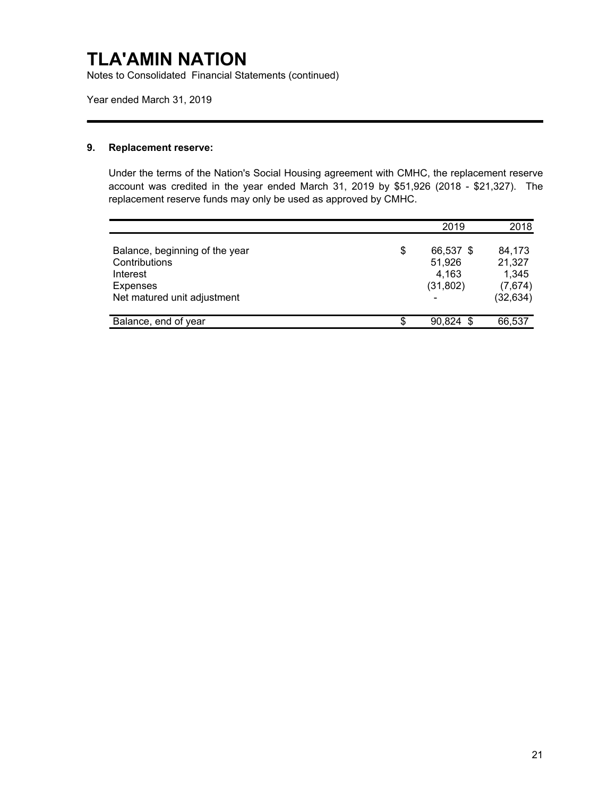Notes to Consolidated Financial Statements (continued)

Year ended March 31, 2019

#### **9. Replacement reserve:**

Under the terms of the Nation's Social Housing agreement with CMHC, the replacement reserve account was credited in the year ended March 31, 2019 by \$51,926 (2018 - \$21,327). The replacement reserve funds may only be used as approved by CMHC.

|                                                                                                               | 2019                                                              | 2018                                              |
|---------------------------------------------------------------------------------------------------------------|-------------------------------------------------------------------|---------------------------------------------------|
| Balance, beginning of the year<br>Contributions<br>Interest<br><b>Expenses</b><br>Net matured unit adjustment | \$<br>66,537 \$<br>51,926<br>4,163<br>(31, 802)<br>$\blacksquare$ | 84,173<br>21,327<br>1,345<br>(7,674)<br>(32, 634) |
| Balance, end of year                                                                                          | 90.824<br>- \$                                                    | 66,537                                            |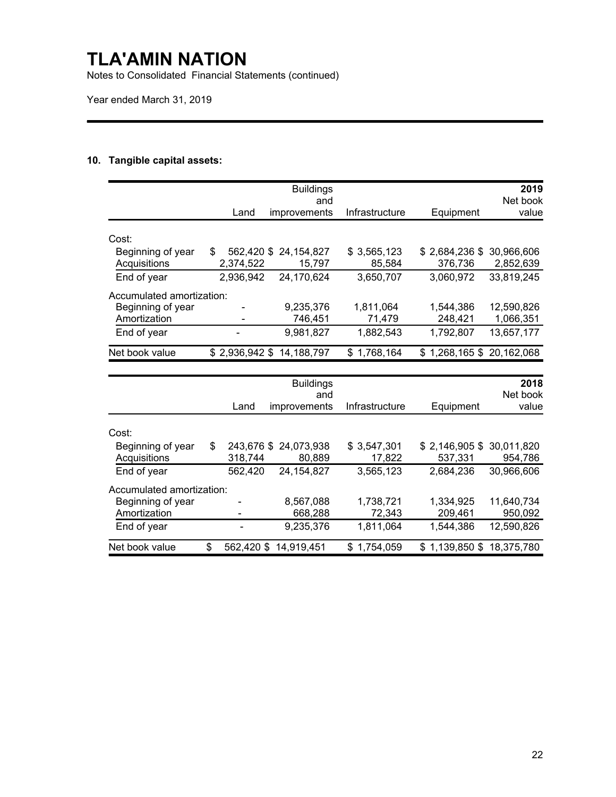Notes to Consolidated Financial Statements (continued)

Year ended March 31, 2019

#### **10. Tangible capital assets:**

|                                   |                          | <b>Buildings</b><br>and        |                       |                            | 2019<br>Net book        |
|-----------------------------------|--------------------------|--------------------------------|-----------------------|----------------------------|-------------------------|
|                                   | Land                     | improvements                   | Infrastructure        | Equipment                  | value                   |
| Cost:                             |                          |                                |                       |                            |                         |
| Beginning of year<br>Acquisitions | S<br>2,374,522           | 562,420 \$24,154,827<br>15,797 | \$3,565,123<br>85,584 | \$2,684,236<br>376,736     | 30,966,606<br>2,852,639 |
| End of year                       | 2,936,942                | 24,170,624                     | 3,650,707             | 3,060,972                  | 33,819,245              |
| Accumulated amortization:         |                          |                                |                       |                            |                         |
| Beginning of year<br>Amortization | ۰                        | 9,235,376<br>746,451           | 1.811.064<br>71.479   | 1.544.386<br>248,421       | 12,590,826<br>1,066,351 |
| End of year                       |                          | 9,981,827                      | 1,882,543             | 1,792,807                  | 13,657,177              |
| Net book value                    | \$2,936,942 \$14,188,797 |                                | 1,768,164<br>\$.      | $$1,268,165$ $$20,162,068$ |                         |

|                                   |                                                     |                          | <b>Buildings</b><br>and        |                        |                                       | 2018<br>Net book      |  |  |  |  |  |
|-----------------------------------|-----------------------------------------------------|--------------------------|--------------------------------|------------------------|---------------------------------------|-----------------------|--|--|--|--|--|
|                                   | Infrastructure<br>Equipment<br>improvements<br>Land |                          |                                |                        |                                       |                       |  |  |  |  |  |
| Cost:                             |                                                     |                          |                                |                        |                                       |                       |  |  |  |  |  |
| Beginning of year<br>Acquisitions | \$                                                  | 318,744                  | 243,676 \$24,073,938<br>80,889 | \$ 3.547.301<br>17,822 | $$2,146,905$ \$ 30,011,820<br>537,331 | 954,786               |  |  |  |  |  |
| End of year                       |                                                     | 562,420                  | 24, 154, 827                   | 3,565,123              | 2,684,236                             | 30,966,606            |  |  |  |  |  |
| Accumulated amortization:         |                                                     |                          |                                |                        |                                       |                       |  |  |  |  |  |
| Beginning of year<br>Amortization |                                                     | $\overline{\phantom{0}}$ | 8,567,088<br>668,288           | 1,738,721<br>72,343    | 1,334,925<br>209,461                  | 11,640,734<br>950,092 |  |  |  |  |  |
| End of year                       |                                                     |                          | 9,235,376                      | 1,811,064              | 1,544,386                             | 12,590,826            |  |  |  |  |  |
| Net book value                    | \$                                                  | 562,420 \$               | 14,919,451                     | \$1,754,059            | $$1,139,850$ \$                       | 18,375,780            |  |  |  |  |  |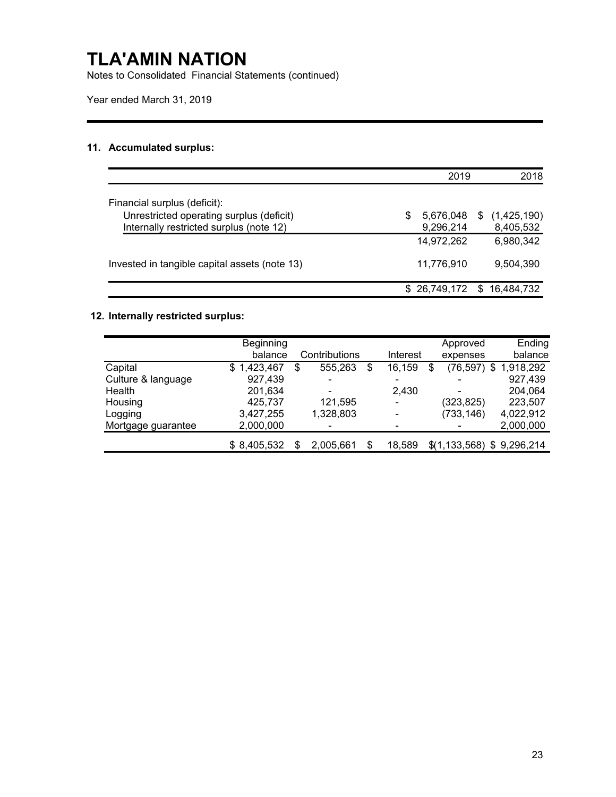Notes to Consolidated Financial Statements (continued)

Year ended March 31, 2019

#### **11. Accumulated surplus:**

|                                                                                     |   | 2019                        |    | 2018                     |
|-------------------------------------------------------------------------------------|---|-----------------------------|----|--------------------------|
| Financial surplus (deficit):                                                        |   |                             |    |                          |
| Unrestricted operating surplus (deficit)<br>Internally restricted surplus (note 12) | S | 5,676,048<br>9,296,214      | S. | (1,425,190)<br>8,405,532 |
|                                                                                     |   | 14,972,262                  |    | 6,980,342                |
| Invested in tangible capital assets (note 13)                                       |   | 11,776,910                  |    | 9,504,390                |
|                                                                                     |   | \$ 26,749,172 \$ 16,484,732 |    |                          |

#### **12. Internally restricted surplus:**

|                    | Beginning      |               |                          |   | Approved                    | Ending                  |
|--------------------|----------------|---------------|--------------------------|---|-----------------------------|-------------------------|
|                    | balance        | Contributions | Interest                 |   | expenses                    | balance                 |
| Capital            | 1,423,467<br>S | \$<br>555,263 | \$<br>16,159             | S |                             | $(76,597)$ \$ 1,918,292 |
| Culture & language | 927,439        |               | $\blacksquare$           |   |                             | 927,439                 |
| Health             | 201,634        |               | 2,430                    |   | $\blacksquare$              | 204,064                 |
| Housing            | 425,737        | 121,595       |                          |   | (323, 825)                  | 223,507                 |
| Logging            | 3,427,255      | 1,328,803     |                          |   | (733, 146)                  | 4,022,912               |
| Mortgage guarantee | 2,000,000      |               | $\overline{\phantom{0}}$ |   |                             | 2,000,000               |
|                    | \$8,405,532    | 2,005,661     | \$<br>18,589             |   | $$(1,133,568)$ \$ 9,296,214 |                         |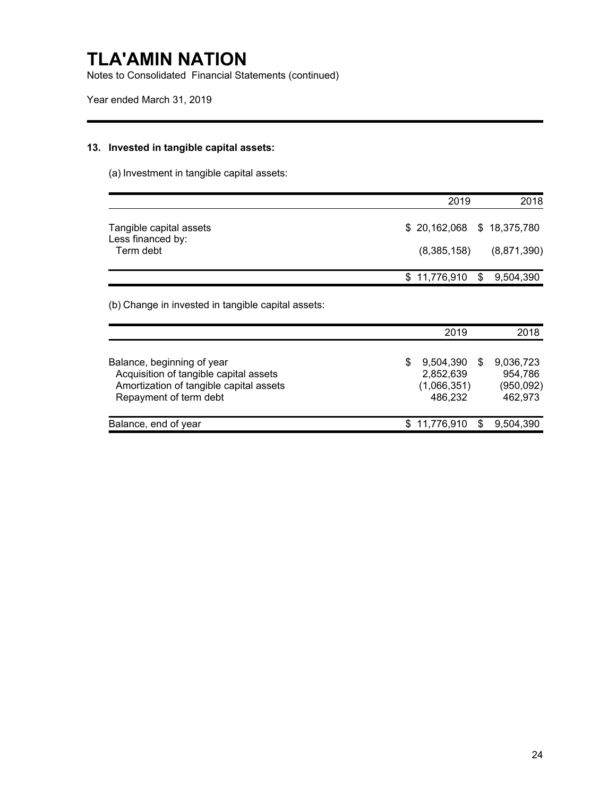Notes to Consolidated Financial Statements (continued)

Year ended March 31, 2019

#### **13. Invested in tangible capital assets:**

(a) Investment in tangible capital assets:

|                                                                                                                                           | 2019                                                        | 2018                                          |
|-------------------------------------------------------------------------------------------------------------------------------------------|-------------------------------------------------------------|-----------------------------------------------|
| Tangible capital assets                                                                                                                   | \$ 20,162,068 \$ 18,375,780                                 |                                               |
| Less financed by:<br>Term debt                                                                                                            | (8,385,158)                                                 | (8,871,390)                                   |
|                                                                                                                                           | \$11,776,910                                                | \$<br>9,504,390                               |
| (b) Change in invested in tangible capital assets:                                                                                        |                                                             |                                               |
|                                                                                                                                           | 2019                                                        | 2018                                          |
| Balance, beginning of year<br>Acquisition of tangible capital assets<br>Amortization of tangible capital assets<br>Repayment of term debt | \$<br>$9,504,390$ \$<br>2,852,639<br>(1,066,351)<br>486,232 | 9,036,723<br>954,786<br>(950, 092)<br>462,973 |

Balance, end of year \$ 11,776,910 \$ 9,504,390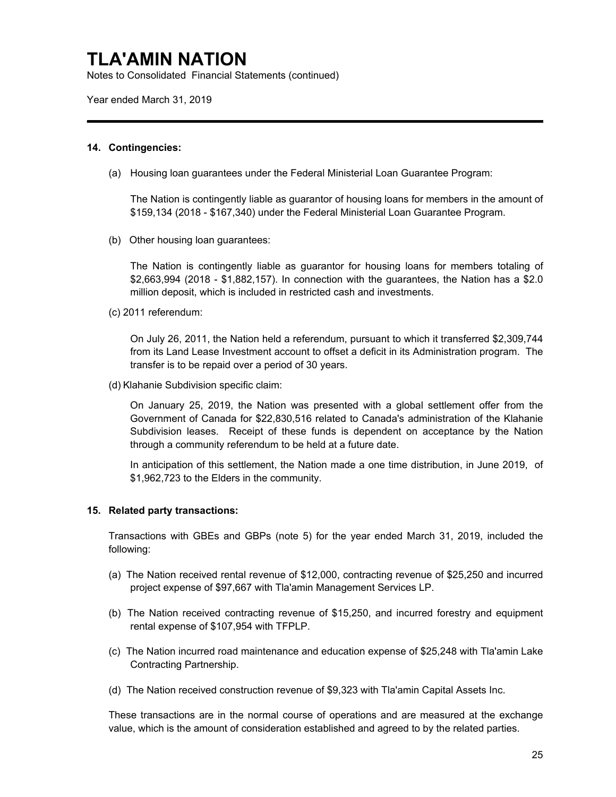Notes to Consolidated Financial Statements (continued)

Year ended March 31, 2019

#### **14. Contingencies:**

(a) Housing loan guarantees under the Federal Ministerial Loan Guarantee Program:

The Nation is contingently liable as guarantor of housing loans for members in the amount of \$159,134 (2018 - \$167,340) under the Federal Ministerial Loan Guarantee Program.

(b) Other housing loan guarantees:

The Nation is contingently liable as guarantor for housing loans for members totaling of \$2,663,994 (2018 - \$1,882,157). In connection with the guarantees, the Nation has a \$2.0 million deposit, which is included in restricted cash and investments.

(c) 2011 referendum:

On July 26, 2011, the Nation held a referendum, pursuant to which it transferred \$2,309,744 from its Land Lease Investment account to offset a deficit in its Administration program. The transfer is to be repaid over a period of 30 years.

(d) Klahanie Subdivision specific claim:

On January 25, 2019, the Nation was presented with a global settlement offer from the Government of Canada for \$22,830,516 related to Canada's administration of the Klahanie Subdivision leases. Receipt of these funds is dependent on acceptance by the Nation through a community referendum to be held at a future date.

In anticipation of this settlement, the Nation made a one time distribution, in June 2019, of \$1,962,723 to the Elders in the community.

#### **15. Related party transactions:**

Transactions with GBEs and GBPs (note 5) for the year ended March 31, 2019, included the following:

- (a) The Nation received rental revenue of \$12,000, contracting revenue of \$25,250 and incurred project expense of \$97,667 with Tla'amin Management Services LP.
- (b) The Nation received contracting revenue of \$15,250, and incurred forestry and equipment rental expense of \$107,954 with TFPLP.
- (c) The Nation incurred road maintenance and education expense of \$25,248 with Tla'amin Lake Contracting Partnership.
- (d) The Nation received construction revenue of \$9,323 with Tla'amin Capital Assets Inc.

These transactions are in the normal course of operations and are measured at the exchange value, which is the amount of consideration established and agreed to by the related parties.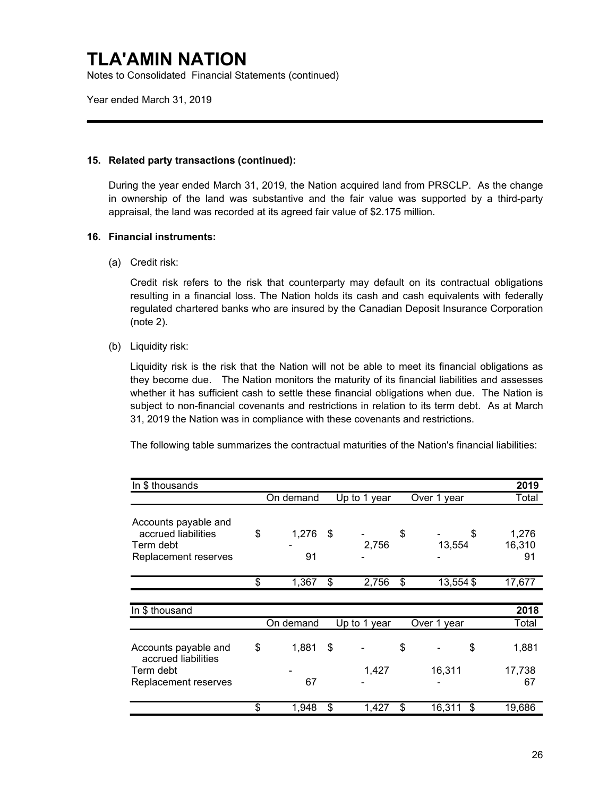Notes to Consolidated Financial Statements (continued)

Year ended March 31, 2019

#### **15. Related party transactions (continued):**

During the year ended March 31, 2019, the Nation acquired land from PRSCLP. As the change in ownership of the land was substantive and the fair value was supported by a third-party appraisal, the land was recorded at its agreed fair value of \$2.175 million.

#### **16. Financial instruments:**

(a) Credit risk:

Credit risk refers to the risk that counterparty may default on its contractual obligations resulting in a financial loss. The Nation holds its cash and cash equivalents with federally regulated chartered banks who are insured by the Canadian Deposit Insurance Corporation (note 2).

(b) Liquidity risk:

Liquidity risk is the risk that the Nation will not be able to meet its financial obligations as they become due. The Nation monitors the maturity of its financial liabilities and assesses whether it has sufficient cash to settle these financial obligations when due. The Nation is subject to non-financial covenants and restrictions in relation to its term debt. As at March 31, 2019 the Nation was in compliance with these covenants and restrictions.

The following table summarizes the contractual maturities of the Nation's financial liabilities:

| In \$ thousands                                                                  |    |             |     |              |                    | 2019                  |
|----------------------------------------------------------------------------------|----|-------------|-----|--------------|--------------------|-----------------------|
|                                                                                  |    | On demand   |     | Up to 1 year | Over 1 year        | Total                 |
| Accounts payable and<br>accrued liabilities<br>Term debt<br>Replacement reserves | \$ | 1,276<br>91 | -\$ | 2,756        | \$<br>\$<br>13,554 | 1,276<br>16,310<br>91 |
|                                                                                  | \$ | 1,367       | \$  | 2,756        | \$<br>13,554 \$    | 17,677                |
| In \$ thousand                                                                   |    |             |     |              |                    | 2018                  |
|                                                                                  |    | On demand   |     | Up to 1 year | Over 1 year        | Total                 |
| Accounts payable and<br>accrued liabilities                                      | \$ | 1,881       | \$  |              | \$<br>\$           | 1,881                 |
| Term debt                                                                        |    |             |     | 1,427        | 16,311             | 17,738                |
| Replacement reserves                                                             |    | 67          |     |              |                    | 67                    |
|                                                                                  | \$ | 1,948       | \$  | 1,427        | \$<br>16,311<br>\$ | 19,686                |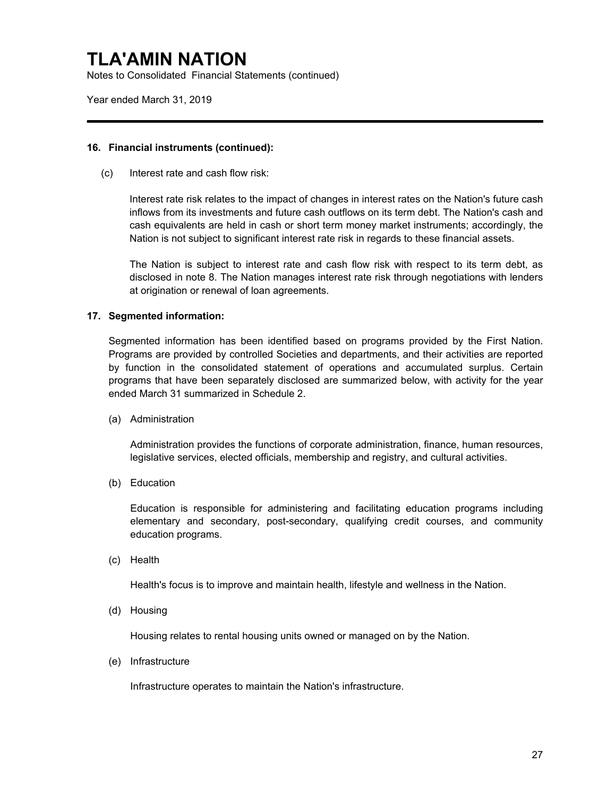Notes to Consolidated Financial Statements (continued)

Year ended March 31, 2019

#### **16. Financial instruments (continued):**

(c) Interest rate and cash flow risk:

Interest rate risk relates to the impact of changes in interest rates on the Nation's future cash inflows from its investments and future cash outflows on its term debt. The Nation's cash and cash equivalents are held in cash or short term money market instruments; accordingly, the Nation is not subject to significant interest rate risk in regards to these financial assets.

The Nation is subject to interest rate and cash flow risk with respect to its term debt, as disclosed in note 8. The Nation manages interest rate risk through negotiations with lenders at origination or renewal of loan agreements.

#### **17. Segmented information:**

Segmented information has been identified based on programs provided by the First Nation. Programs are provided by controlled Societies and departments, and their activities are reported by function in the consolidated statement of operations and accumulated surplus. Certain programs that have been separately disclosed are summarized below, with activity for the year ended March 31 summarized in Schedule 2.

(a) Administration

Administration provides the functions of corporate administration, finance, human resources, legislative services, elected officials, membership and registry, and cultural activities.

(b) Education

Education is responsible for administering and facilitating education programs including elementary and secondary, post-secondary, qualifying credit courses, and community education programs.

(c) Health

Health's focus is to improve and maintain health, lifestyle and wellness in the Nation.

(d) Housing

Housing relates to rental housing units owned or managed on by the Nation.

(e) Infrastructure

Infrastructure operates to maintain the Nation's infrastructure.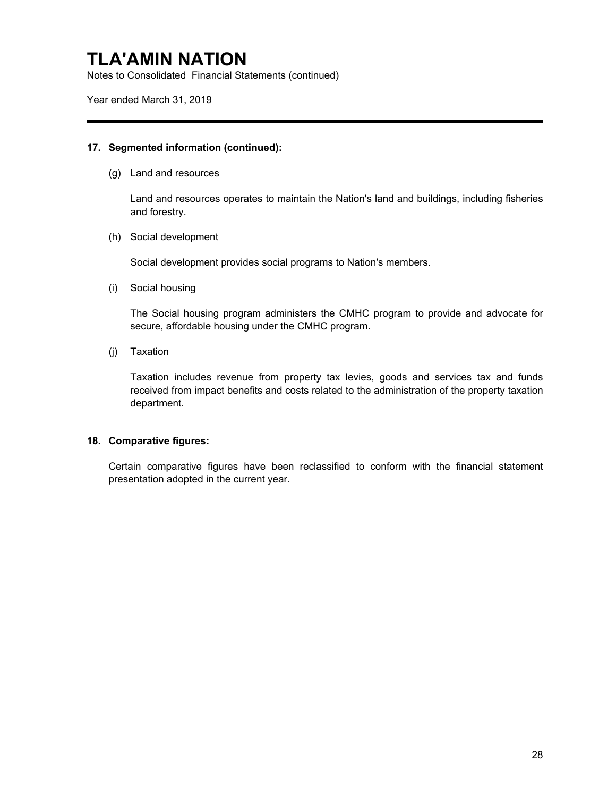Notes to Consolidated Financial Statements (continued)

Year ended March 31, 2019

#### **17. Segmented information (continued):**

(g) Land and resources

Land and resources operates to maintain the Nation's land and buildings, including fisheries and forestry.

(h) Social development

Social development provides social programs to Nation's members.

(i) Social housing

The Social housing program administers the CMHC program to provide and advocate for secure, affordable housing under the CMHC program.

(j) Taxation

Taxation includes revenue from property tax levies, goods and services tax and funds received from impact benefits and costs related to the administration of the property taxation department.

#### **18. Comparative figures:**

Certain comparative figures have been reclassified to conform with the financial statement presentation adopted in the current year.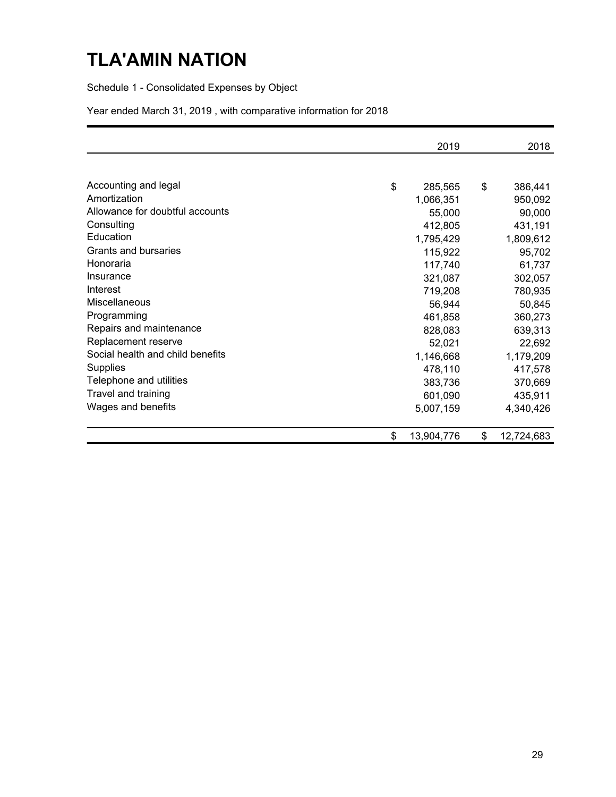Schedule 1 - Consolidated Expenses by Object

Year ended March 31, 2019 , with comparative information for 2018

|                                  | 2019             | 2018             |
|----------------------------------|------------------|------------------|
|                                  |                  |                  |
| Accounting and legal             | \$<br>285,565    | \$<br>386,441    |
| Amortization                     | 1,066,351        | 950,092          |
| Allowance for doubtful accounts  | 55,000           | 90,000           |
| Consulting                       | 412,805          | 431,191          |
| Education                        | 1,795,429        | 1,809,612        |
| Grants and bursaries             | 115,922          | 95,702           |
| Honoraria                        | 117,740          | 61,737           |
| Insurance                        | 321,087          | 302,057          |
| Interest                         | 719,208          | 780,935          |
| Miscellaneous                    | 56,944           | 50,845           |
| Programming                      | 461,858          | 360,273          |
| Repairs and maintenance          | 828,083          | 639,313          |
| Replacement reserve              | 52,021           | 22,692           |
| Social health and child benefits | 1,146,668        | 1,179,209        |
| <b>Supplies</b>                  | 478,110          | 417,578          |
| Telephone and utilities          | 383,736          | 370,669          |
| Travel and training              | 601,090          | 435,911          |
| Wages and benefits               | 5,007,159        | 4,340,426        |
|                                  |                  |                  |
|                                  | \$<br>13,904,776 | \$<br>12,724,683 |